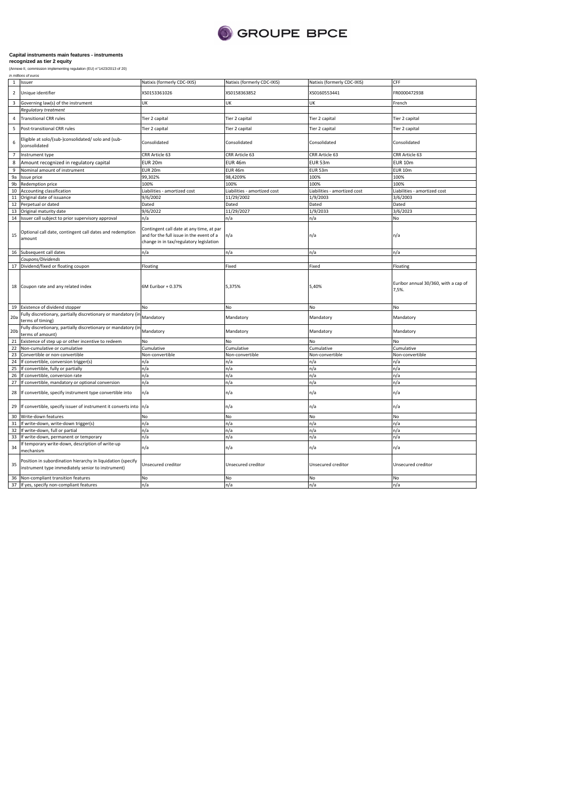

|                 | in millions of euros                                                                                                          |                                                                                                                                 |                              |                              |                                               |
|-----------------|-------------------------------------------------------------------------------------------------------------------------------|---------------------------------------------------------------------------------------------------------------------------------|------------------------------|------------------------------|-----------------------------------------------|
| $\mathbf{1}$    | Issuer                                                                                                                        | Natixis (formerly CDC-IXIS)                                                                                                     | Natixis (formerly CDC-IXIS)  | Natixis (formerly CDC-IXIS)  | CFF                                           |
| $\overline{2}$  | Unique identifier                                                                                                             | XS0153361026                                                                                                                    | XS0158363852                 | XS0160553441                 | FR0000472938                                  |
| 3               | Governing law(s) of the instrument                                                                                            | UK                                                                                                                              | UK                           | UK                           | French                                        |
|                 | Regulatory treatment                                                                                                          |                                                                                                                                 |                              |                              |                                               |
| $\overline{4}$  | <b>Transitional CRR rules</b>                                                                                                 | Tier 2 capital                                                                                                                  | Tier 2 capital               | Tier 2 capital               | Tier 2 capital                                |
| 5               | Post-transitional CRR rules                                                                                                   | Tier 2 capital                                                                                                                  | Tier 2 capital               | Tier 2 capital               | Tier 2 capital                                |
| 6               | Eligible at solo/(sub-)consolidated/ solo and (sub-<br>consolidated                                                           | Consolidated                                                                                                                    | Consolidated                 | Consolidated                 | Consolidated                                  |
| $\overline{7}$  | Instrument type                                                                                                               | CRR Article 63                                                                                                                  | CRR Article 63               | CRR Article 63               | CRR Article 63                                |
| 8               |                                                                                                                               | <b>EUR 20m</b>                                                                                                                  | EUR 46m                      | EUR 53m                      | <b>EUR 10m</b>                                |
|                 | Amount recognized in regulatory capital                                                                                       |                                                                                                                                 |                              |                              |                                               |
| 9               | Nominal amount of instrument                                                                                                  | EUR 20m                                                                                                                         | EUR 46m                      | EUR 53m                      | <b>EUR 10m</b>                                |
| 9a              | Issue price                                                                                                                   | 99,302%                                                                                                                         | 98,4209%                     | 100%                         | 100%                                          |
| 9 <sub>b</sub>  | Redemption price                                                                                                              | 100%                                                                                                                            | 100%                         | 100%                         | 100%                                          |
| 10              | Accounting classification                                                                                                     | Liabilities - amortized cost                                                                                                    | Liabilities - amortized cost | Liabilities - amortized cost | iabilities - amortized cost                   |
| 11              | Original date of issuance                                                                                                     | 9/6/2002                                                                                                                        | 11/29/2002                   | 1/9/2003                     | 3/6/2003                                      |
| 12              | Perpetual or dated                                                                                                            | Dated                                                                                                                           | Dated                        | Dated                        | Dated                                         |
| 13              | Original maturity date                                                                                                        | 9/6/2022                                                                                                                        | 11/29/2027                   | 1/9/2033                     | 3/6/2023                                      |
|                 | 14 Issuer call subject to prior supervisory approval                                                                          | n/a                                                                                                                             | n/a                          | n/a                          | No                                            |
| 15              | Optional call date, contingent call dates and redemption<br>amount                                                            | Contingent call date at any time, at par<br>and for the full issue in the event of a<br>change in in tax/regulatory legislation | n/a                          | n/a                          | n/a                                           |
|                 | 16 Subsequent call dates                                                                                                      | n/a                                                                                                                             | n/a                          | n/a                          | ı/a                                           |
|                 | Coupons/Dividends                                                                                                             |                                                                                                                                 |                              |                              |                                               |
|                 | 17 Dividend/fixed or floating coupon                                                                                          | Floating                                                                                                                        | Fixed                        | Fixed                        | Floating                                      |
|                 | 18 Coupon rate and any related index                                                                                          | 6M Euribor + 0.37%                                                                                                              | 5,375%                       | 5,40%                        | Euribor annual 30/360, with a cap of<br>7,5%. |
|                 | 19 Existence of dividend stopper                                                                                              | No                                                                                                                              | No                           | No                           | No                                            |
| 20a             | Fully discretionary, partially discretionary or mandatory (ir<br>terms of timing)                                             | Mandatory                                                                                                                       | Mandatory                    | Mandatory                    | Mandatory                                     |
| 20 <sub>b</sub> | Fully discretionary, partially discretionary or mandatory (in<br>terms of amount)                                             | Mandatory                                                                                                                       | Mandatory                    | Mandatory                    | Mandatory                                     |
|                 | Existence of step up or other incentive to redeem                                                                             |                                                                                                                                 |                              |                              |                                               |
| 21<br>22        |                                                                                                                               | No                                                                                                                              | No                           | No                           | No                                            |
|                 | Non-cumulative or cumulative                                                                                                  | Cumulative                                                                                                                      | Cumulative                   | Cumulative                   | Cumulative                                    |
| 23              | Convertible or non-convertible                                                                                                | Non-convertible                                                                                                                 | Non-convertible              | Non-convertible              | Non-convertible                               |
| 24              | If convertible, conversion trigger(s)                                                                                         | n/a                                                                                                                             | n/a                          | n/a                          | n/a                                           |
| 25              | If convertible, fully or partially                                                                                            | n/a                                                                                                                             | n/a                          | n/a                          | n/a                                           |
| 26              | If convertible, conversion rate                                                                                               | n/a                                                                                                                             | n/a                          | n/a                          | n/a                                           |
| 27              | If convertible, mandatory or optional conversion                                                                              | n/a                                                                                                                             | n/a                          | n/a                          | n/a                                           |
| 28              | If convertible, specify instrument type convertible into                                                                      | n/a                                                                                                                             | n/a                          | n/a                          | n/a                                           |
|                 |                                                                                                                               |                                                                                                                                 |                              |                              |                                               |
|                 | 29 If convertible, specify issuer of instrument it converts into n/a                                                          |                                                                                                                                 | n/a                          | n/a                          | n/a                                           |
| 30              | Write-down features                                                                                                           | No                                                                                                                              | No                           | No                           | No                                            |
| 31              |                                                                                                                               | n/a                                                                                                                             | n/a                          | n/a                          | n/a                                           |
|                 | If write-down, write-down trigger(s)                                                                                          |                                                                                                                                 |                              |                              |                                               |
| 32              | If write-down, full or partial                                                                                                | n/a                                                                                                                             | n/a                          | n/a                          | n/a                                           |
| 33<br>34        | If write-down, permanent or temporary<br>If temporary write-down, description of write-up                                     | n/a<br>n/a                                                                                                                      | n/a<br>n/a                   | n/a<br>n/a                   | n/a<br>n/a                                    |
| 35              | mechanism<br>Position in subordination hierarchy in liquidation (specify<br>instrument type immediately senior to instrument) | Unsecured creditor                                                                                                              | Unsecured creditor           | Unsecured creditor           | Unsecured creditor                            |
|                 | 36 Non-compliant transition features                                                                                          | No                                                                                                                              | No                           | No                           | No                                            |
|                 | 37 If yes, specify non-compliant features                                                                                     | n/a                                                                                                                             | n/a                          | n/a                          | n/a                                           |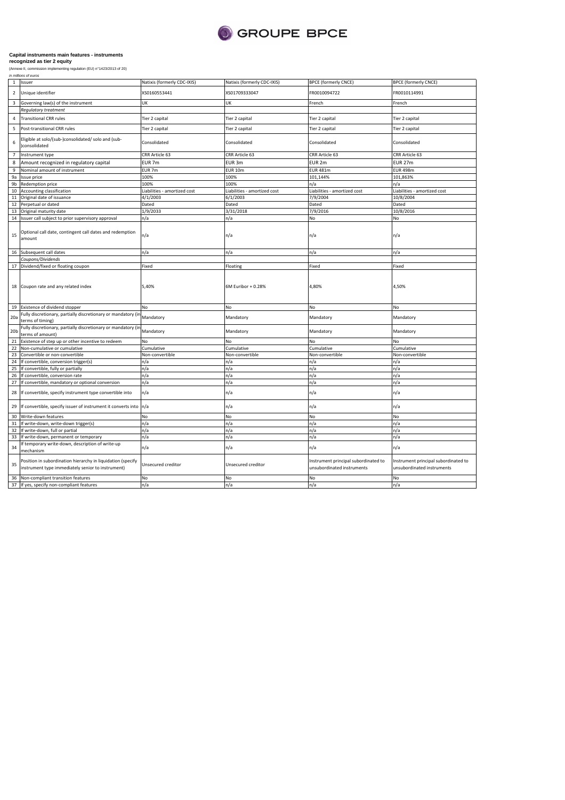

| in millions of euros |  |
|----------------------|--|

| $\mathbf{1}$    | Issuer                                                                                                           | Natixis (formerly CDC-IXIS)  | Natixis (formerly CDC-IXIS)  | <b>BPCE (formerly CNCE)</b>                                        | <b>BPCE (formerly CNCE)</b>                                        |
|-----------------|------------------------------------------------------------------------------------------------------------------|------------------------------|------------------------------|--------------------------------------------------------------------|--------------------------------------------------------------------|
|                 |                                                                                                                  |                              |                              |                                                                    |                                                                    |
| $\overline{2}$  | Unique identifier                                                                                                | KS0160553441                 | XS01709333047                | FR0010094722                                                       | FR0010114991                                                       |
| 3               | Governing law(s) of the instrument                                                                               | UK                           | <b>UK</b>                    | French                                                             | French                                                             |
|                 | Regulatory treatment                                                                                             |                              |                              |                                                                    |                                                                    |
| $\sqrt{4}$      | <b>Transitional CRR rules</b>                                                                                    | Tier 2 capital               | Tier 2 capital               | Tier 2 capital                                                     | Tier 2 capital                                                     |
| 5               | Post-transitional CRR rules                                                                                      | Tier 2 capital               | Tier 2 capital               | Tier 2 capital                                                     | Tier 2 capital                                                     |
| 6               | Eligible at solo/(sub-)consolidated/ solo and (sub-<br>)consolidated                                             | Consolidated                 | Consolidated                 | Consolidated                                                       | Consolidated                                                       |
| $\overline{7}$  | Instrument type                                                                                                  | CRR Article 63               | CRR Article 63               | CRR Article 63                                                     | CRR Article 63                                                     |
| 8               | Amount recognized in regulatory capital                                                                          | EUR 7m                       | EUR 3m                       | EUR <sub>2m</sub>                                                  | <b>EUR 27m</b>                                                     |
|                 |                                                                                                                  |                              |                              |                                                                    |                                                                    |
| 9               | Nominal amount of instrument                                                                                     | EUR 7m                       | <b>EUR 10m</b>               | <b>EUR 481m</b>                                                    | <b>EUR 498m</b>                                                    |
| 9a              | Issue price                                                                                                      | 100%                         | 100%                         | 101,144%                                                           | 101,863%                                                           |
| 9b              | Redemption price                                                                                                 | 100%                         | 100%                         | n/a                                                                | n/a                                                                |
| 10              | Accounting classification                                                                                        | Liabilities - amortized cost | Liabilities - amortized cost | Liabilities - amortized cost                                       | Liabilities - amortized cost                                       |
| 11              | Original date of issuance                                                                                        | 4/1/2003                     | 6/1/2003                     | 7/9/2004                                                           | 10/8/2004                                                          |
| 12              | Perpetual or dated                                                                                               | Dated                        | Dated                        | Dated                                                              | Dated                                                              |
| 13              | Original maturity date                                                                                           | 1/9/2033                     | 3/31/2018                    | 7/9/2016                                                           | 10/8/2016                                                          |
| 14              | Issuer call subject to prior supervisory approval                                                                | n/a                          | n/a                          | No                                                                 | No                                                                 |
| 15              | Optional call date, contingent call dates and redemption<br>amount                                               | ٦/a                          | n/a                          | n/a                                                                | n/a                                                                |
|                 | 16 Subsequent call dates                                                                                         | n/a                          | n/a                          | n/a                                                                | n/a                                                                |
|                 | Coupons/Dividends                                                                                                |                              |                              |                                                                    |                                                                    |
|                 | 17 Dividend/fixed or floating coupon                                                                             | Fixed                        | Floating                     | Fixed                                                              | Fixed                                                              |
|                 | 18 Coupon rate and any related index                                                                             | 5,40%                        | 6M Euribor + 0.28%           | 4,80%                                                              | 4,50%                                                              |
|                 | 19 Existence of dividend stopper                                                                                 | No                           | No                           | No                                                                 | No                                                                 |
| 20a             | Fully discretionary, partially discretionary or mandatory (in<br>terms of timing)                                | Mandatory                    | Mandatory                    | Mandatory                                                          | Mandatory                                                          |
| 20 <sub>b</sub> | Fully discretionary, partially discretionary or mandatory (ir<br>terms of amount)                                | Mandatory                    | Mandatory                    | Mandatory                                                          | Mandatory                                                          |
| 21              | Existence of step up or other incentive to redeem                                                                | No                           | No                           | No                                                                 | NΩ                                                                 |
| 22              | Non-cumulative or cumulative                                                                                     | Cumulative                   | Cumulative                   | Cumulative                                                         | Cumulative                                                         |
| 23              | Convertible or non-convertible                                                                                   | Non-convertible              | Non-convertible              | Non-convertible                                                    | Non-convertible                                                    |
| 24              | If convertible, conversion trigger(s)                                                                            | n/a                          | n/a                          | n/a                                                                | n/a                                                                |
| 25              | If convertible, fully or partially                                                                               | n/a                          | n/a                          | n/a                                                                | n/a                                                                |
| 26              | If convertible, conversion rate                                                                                  | n/a                          | n/a                          | n/a                                                                | n/a                                                                |
|                 |                                                                                                                  |                              |                              |                                                                    |                                                                    |
| 27<br>28        | If convertible, mandatory or optional conversion<br>If convertible, specify instrument type convertible into     | n/a<br>n/a                   | n/a<br>n/a                   | n/a<br>n/a                                                         | n/a<br>n/a                                                         |
|                 |                                                                                                                  |                              |                              |                                                                    |                                                                    |
| 29              | If convertible, specify issuer of instrument it converts into                                                    | n/a                          | n/a                          | n/a                                                                | n/a                                                                |
| 30              | Write-down features                                                                                              | No                           | No                           | No                                                                 | No                                                                 |
| 31              | If write-down, write-down trigger(s)                                                                             | n/a                          | n/a                          | n/a                                                                | n/a                                                                |
| 32              | If write-down, full or partial                                                                                   | n/a                          | n/a                          | n/a                                                                | n/a                                                                |
| 33              | If write-down, permanent or temporary                                                                            | n/a                          | n/a                          | n/a                                                                | n/a                                                                |
| 34              | f temporary write-down, description of write-up<br>mechanism                                                     | n/a                          | n/a                          | n/a                                                                | n/a                                                                |
| 35              | Position in subordination hierarchy in liquidation (specify<br>instrument type immediately senior to instrument) | Unsecured creditor           | Unsecured creditor           | Instrument principal subordinated to<br>unsubordinated instruments | Instrument principal subordinated to<br>unsubordinated instruments |
|                 | 36 Non-compliant transition features                                                                             | No                           | No                           | No                                                                 | No                                                                 |
|                 | 37 If yes, specify non-compliant features                                                                        | n/a                          | n/a                          | n/a                                                                | n/a                                                                |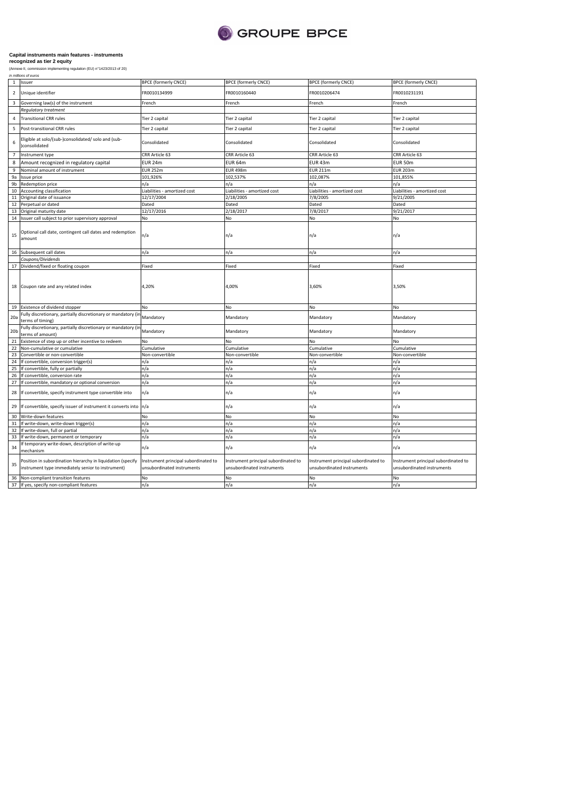

| in millions of euros |
|----------------------|
|----------------------|

|                 | 1 Issuer                                                                                                         | <b>BPCE (formerly CNCE)</b>                                        | <b>BPCE (formerly CNCE)</b>                                        | <b>BPCE (formerly CNCE)</b>                                        | <b>BPCE (formerly CNCE)</b>                                        |
|-----------------|------------------------------------------------------------------------------------------------------------------|--------------------------------------------------------------------|--------------------------------------------------------------------|--------------------------------------------------------------------|--------------------------------------------------------------------|
| $\overline{2}$  | Unique identifier                                                                                                | FR0010134999                                                       | FR0010160440                                                       | FR0010206474                                                       | FR0010231191                                                       |
| 3               | Governing law(s) of the instrument                                                                               | French                                                             | French                                                             | French                                                             | French                                                             |
|                 | <b>Regulatory treatment</b>                                                                                      |                                                                    |                                                                    |                                                                    |                                                                    |
| 4               | <b>Transitional CRR rules</b>                                                                                    | Tier 2 capital                                                     | Tier 2 capital                                                     | Tier 2 capital                                                     | Tier 2 capital                                                     |
| 5               | Post-transitional CRR rules                                                                                      | Tier 2 capital                                                     | Tier 2 capital                                                     | Tier 2 capital                                                     | Tier 2 capital                                                     |
| 6               | Eligible at solo/(sub-)consolidated/ solo and (sub-<br>)consolidated                                             | Consolidated                                                       | Consolidated                                                       | Consolidated                                                       | Consolidated                                                       |
| $\overline{7}$  | Instrument type                                                                                                  | CRR Article 63                                                     | CRR Article 63                                                     | CRR Article 63                                                     | CRR Article 63                                                     |
| 8               | Amount recognized in regulatory capital                                                                          | <b>EUR 24m</b>                                                     | EUR 64m                                                            | EUR 43m                                                            | <b>EUR 50m</b>                                                     |
| 9               | Nominal amount of instrument                                                                                     | <b>EUR 252m</b>                                                    | <b>EUR 498m</b>                                                    | <b>EUR 211m</b>                                                    | <b>EUR 203m</b>                                                    |
| 9a              | Issue price                                                                                                      | 101,926%                                                           | 102,537%                                                           | 102,087%                                                           | 101,855%                                                           |
| 9b              | Redemption price                                                                                                 | n/a                                                                | n/a                                                                | n/a                                                                | n/a                                                                |
|                 |                                                                                                                  |                                                                    |                                                                    |                                                                    |                                                                    |
| 10              | Accounting classification                                                                                        | Liabilities - amortized cost                                       | Liabilities - amortized cost                                       | Liabilities - amortized cost                                       | Liabilities - amortized cost                                       |
|                 | 11 Original date of issuance                                                                                     | 12/17/2004                                                         | 2/18/2005                                                          | 7/8/2005                                                           | 9/21/2005                                                          |
| 12              | Perpetual or dated                                                                                               | Dated                                                              | Dated                                                              | Dated                                                              | Dated                                                              |
|                 | 13 Original maturity date                                                                                        | 12/17/2016                                                         | 2/18/2017                                                          | 7/8/2017                                                           | 9/21/2017                                                          |
|                 | 14 Issuer call subject to prior supervisory approval                                                             | No                                                                 | No                                                                 | No                                                                 | No                                                                 |
| 15              | Optional call date, contingent call dates and redemption<br>amount                                               | n/a                                                                | n/a                                                                | n/a                                                                | n/a                                                                |
|                 | 16 Subsequent call dates                                                                                         | n/a                                                                | n/a                                                                | n/a                                                                | n/a                                                                |
|                 | Coupons/Dividends                                                                                                |                                                                    |                                                                    |                                                                    |                                                                    |
|                 | 17 Dividend/fixed or floating coupon                                                                             | Fixed                                                              | Fixed                                                              | Fixed                                                              | Fixed                                                              |
|                 | 18 Coupon rate and any related index                                                                             | 4,20%                                                              | 4,00%                                                              | 3,60%                                                              | 3,50%                                                              |
| 19              | Existence of dividend stopper                                                                                    | No                                                                 | No                                                                 | No                                                                 | No                                                                 |
| 20a             | Fully discretionary, partially discretionary or mandatory (in<br>terms of timing)                                | Mandatory                                                          | Mandatory                                                          | Mandatory                                                          | Mandatory                                                          |
| 20 <sub>b</sub> | Fully discretionary, partially discretionary or mandatory (in<br>terms of amount)                                | Mandatory                                                          | Mandatory                                                          | Mandatory                                                          | Mandatory                                                          |
| 21              | Existence of step up or other incentive to redeem                                                                | No                                                                 | No                                                                 | No                                                                 | No                                                                 |
| 22              | Non-cumulative or cumulative                                                                                     | Cumulative                                                         | Cumulative                                                         | Cumulative                                                         | Cumulative                                                         |
|                 |                                                                                                                  |                                                                    |                                                                    |                                                                    |                                                                    |
| 23              | Convertible or non-convertible                                                                                   | Non-convertible                                                    | Non-convertible                                                    | Non-convertible                                                    | Non-convertible                                                    |
| 24              | If convertible, conversion trigger(s)                                                                            | n/a                                                                | n/a                                                                | n/a                                                                | n/a                                                                |
| 25              | If convertible, fully or partially                                                                               | n/a                                                                | n/a                                                                | n/a                                                                | n/a                                                                |
| 26              | If convertible, conversion rate                                                                                  | n/a                                                                | n/a                                                                | n/a                                                                | n/a                                                                |
| 27              | If convertible, mandatory or optional conversion                                                                 | n/a                                                                | n/a                                                                | n/a                                                                | n/a                                                                |
| 28              | If convertible, specify instrument type convertible into                                                         | n/a                                                                | n/a                                                                | n/a                                                                | n/a                                                                |
| 29              | If convertible, specify issuer of instrument it converts into                                                    | n/a                                                                | n/a                                                                | n/a                                                                | n/a                                                                |
| 30              | Write-down features                                                                                              | No                                                                 | No                                                                 | No                                                                 | No                                                                 |
|                 | 31 If write-down, write-down trigger(s)                                                                          | n/a                                                                | n/a                                                                | n/a                                                                | n/a                                                                |
| 32              | If write-down, full or partial                                                                                   | n/a                                                                | n/a                                                                | n/a                                                                | n/a                                                                |
| 33              | If write-down, permanent or temporary                                                                            | n/a                                                                | n/a                                                                | n/a                                                                | n/a                                                                |
| 34              | If temporary write-down, description of write-up<br>mechanism                                                    | n/a                                                                | n/a                                                                | n/a                                                                | n/a                                                                |
| 35              | Position in subordination hierarchy in liquidation (specify<br>instrument type immediately senior to instrument) | Instrument principal subordinated to<br>unsubordinated instruments | Instrument principal subordinated to<br>unsubordinated instruments | Instrument principal subordinated to<br>unsubordinated instruments | Instrument principal subordinated to<br>unsubordinated instruments |
|                 | 36 Non-compliant transition features                                                                             | No                                                                 | No                                                                 | No                                                                 | No                                                                 |
|                 | 37 If yes, specify non-compliant features                                                                        | n/a                                                                | n/a                                                                | n/a                                                                | n/a                                                                |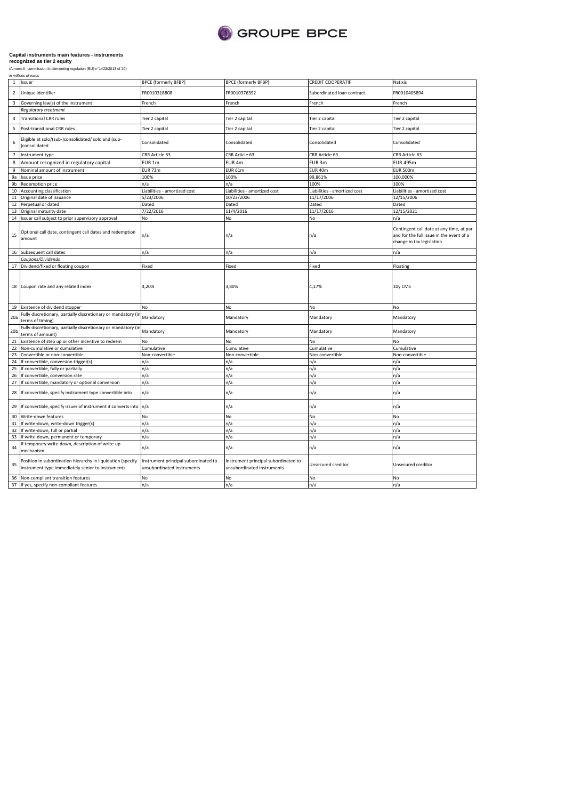

|                 | in millions of euros                                                                                             |                                                                    |                                                                    |                              |                                                                                                                   |
|-----------------|------------------------------------------------------------------------------------------------------------------|--------------------------------------------------------------------|--------------------------------------------------------------------|------------------------------|-------------------------------------------------------------------------------------------------------------------|
| $\mathbf{1}$    | Issuer                                                                                                           | <b>BPCE (formerly BFBP)</b>                                        | <b>BPCE (formerly BFBP)</b>                                        | <b>CREDIT COOPERATIF</b>     | Natixis                                                                                                           |
| $\overline{2}$  | Unique identifier                                                                                                | FR0010318808                                                       | FR0010376392                                                       | Subordinated loan contract   | FR0010405894                                                                                                      |
| 3               | Governing law(s) of the instrument                                                                               | French                                                             | French                                                             | French                       | French                                                                                                            |
|                 | Regulatory treatment                                                                                             |                                                                    |                                                                    |                              |                                                                                                                   |
| $\overline{4}$  | <b>Transitional CRR rules</b>                                                                                    | Tier 2 capital                                                     | Tier 2 capital                                                     | Tier 2 capital               | Tier 2 capital                                                                                                    |
| 5               | Post-transitional CRR rules                                                                                      | Tier 2 capital                                                     | Tier 2 capital                                                     | Tier 2 capital               | Tier 2 capital                                                                                                    |
| 6               | Eligible at solo/(sub-)consolidated/ solo and (sub-<br>consolidated                                              | Consolidated                                                       | Consolidated                                                       | Consolidated                 | Consolidated                                                                                                      |
| $\overline{7}$  | Instrument type                                                                                                  | CRR Article 63                                                     | CRR Article 63                                                     | CRR Article 63               | CRR Article 63                                                                                                    |
| 8               | Amount recognized in regulatory capital                                                                          | EUR 1m                                                             | EUR <sub>4m</sub>                                                  | EUR <sub>3m</sub>            | <b>EUR 495m</b>                                                                                                   |
| 9               |                                                                                                                  | EUR 73m                                                            | <b>EUR 61m</b>                                                     | EUR 40m                      | <b>EUR 500m</b>                                                                                                   |
|                 | Nominal amount of instrument                                                                                     |                                                                    |                                                                    |                              |                                                                                                                   |
| 9a              | Issue price                                                                                                      | 100%                                                               | 100%                                                               | 99,861%                      | 100,000%                                                                                                          |
| 9b              | Redemption price                                                                                                 | n/a                                                                | n/a                                                                | 100%                         | 100%                                                                                                              |
| 10              | Accounting classification                                                                                        | Liabilities - amortized cost                                       | Liabilities - amortized cost                                       | Liabilities - amortized cost | Liabilities - amortized cost                                                                                      |
| 11              | Original date of issuance                                                                                        | 5/23/2006                                                          | 10/23/2006                                                         | 11/17/2006                   | 12/15/2006                                                                                                        |
| 12              | Perpetual or dated                                                                                               | Dated                                                              | Dated                                                              | Dated                        | Dated                                                                                                             |
| 13              | Original maturity date                                                                                           | 7/22/2016                                                          | 11/4/2016                                                          | 11/17/2016                   | 12/15/2021                                                                                                        |
| 14              | Issuer call subject to prior supervisory approval                                                                | No                                                                 | No                                                                 | No                           | n/a                                                                                                               |
| 15              | Optional call date, contingent call dates and redemption<br>amount                                               | n/a                                                                | n/a                                                                | n/a                          | Contingent call date at any time, at par<br>and for the full issue in the event of a<br>change in tax legislation |
|                 | 16 Subsequent call dates                                                                                         | n/a                                                                | n/a                                                                | n/a                          | n/a                                                                                                               |
|                 | Coupons/Dividends                                                                                                |                                                                    |                                                                    |                              |                                                                                                                   |
| 17              | Dividend/fixed or floating coupon                                                                                | Fixed                                                              | Fixed                                                              | Fixed                        | Floating                                                                                                          |
|                 | 18 Coupon rate and any related index                                                                             | 4,20%                                                              | 3,80%                                                              | 4,17%                        | 10y CMS                                                                                                           |
|                 | 19 Existence of dividend stopper                                                                                 | No                                                                 | No                                                                 | No                           | No                                                                                                                |
| 20a             | Fully discretionary, partially discretionary or mandatory (ir<br>terms of timing)                                | Mandatory                                                          | Mandatory                                                          | Mandatory                    | Mandatory                                                                                                         |
| 20 <sub>b</sub> | Fully discretionary, partially discretionary or mandatory (ir<br>terms of amount)                                | Mandatory                                                          | Mandatory                                                          | Mandatory                    | Mandatory                                                                                                         |
| 21              | Existence of step up or other incentive to redeem                                                                | No                                                                 | No                                                                 | No                           | NΩ                                                                                                                |
| 22              | Non-cumulative or cumulative                                                                                     | Cumulative                                                         | Cumulative                                                         | Cumulative                   | Cumulative                                                                                                        |
|                 |                                                                                                                  |                                                                    |                                                                    |                              |                                                                                                                   |
| 23              | Convertible or non-convertible                                                                                   | Non-convertible                                                    | Non-convertible                                                    | Non-convertible              | Non-convertible                                                                                                   |
| 24              | If convertible, conversion trigger(s)                                                                            | n/a                                                                | n/a                                                                | n/a                          | n/a                                                                                                               |
| 25              | If convertible, fully or partially                                                                               | n/a                                                                | n/a                                                                | n/a                          | n/a                                                                                                               |
| 26              | f convertible, conversion rate                                                                                   | n/a                                                                | n/a                                                                | n/a                          | n/a                                                                                                               |
| 27              | f convertible, mandatory or optional conversion                                                                  | n/a                                                                | n/a                                                                | n/a                          | n/a                                                                                                               |
| 28              | If convertible, specify instrument type convertible into                                                         | n/a                                                                | n/a                                                                | n/a                          | n/a                                                                                                               |
| 29              | If convertible, specify issuer of instrument it converts into                                                    | n/a                                                                | n/a                                                                | n/a                          | n/a                                                                                                               |
| 30              | Write-down features                                                                                              | No                                                                 | No                                                                 | No                           | No                                                                                                                |
| 31              | If write-down, write-down trigger(s)                                                                             | n/a                                                                | n/a                                                                | n/a                          | n/a                                                                                                               |
| 32              | If write-down, full or partial                                                                                   | n/a                                                                | n/a                                                                | n/a                          | n/a                                                                                                               |
| 33              | f write-down, permanent or temporary                                                                             | n/a                                                                | n/a                                                                | n/a                          | n/a                                                                                                               |
| 34              | f temporary write-down, description of write-up<br>mechanism                                                     | n/a                                                                | n/a                                                                | n/a                          | n/a                                                                                                               |
| 35              | Position in subordination hierarchy in liquidation (specify<br>instrument type immediately senior to instrument) | Instrument principal subordinated to<br>unsubordinated instruments | Instrument principal subordinated to<br>unsubordinated instruments | Unsecured creditor           | Unsecured creditor                                                                                                |
| 36              | Non-compliant transition features                                                                                | No                                                                 | No                                                                 | No                           | No                                                                                                                |
|                 | 37 If yes, specify non-compliant features                                                                        | n/a                                                                | n/a                                                                | n/a                          | n/a                                                                                                               |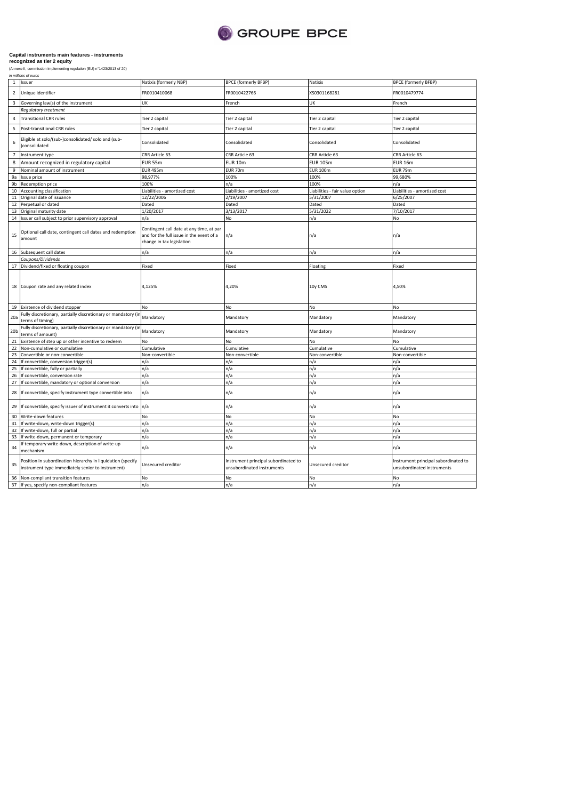

|                 | in millions of euros                                                                                             |                                                                                                                   |                                                                    |                                 |                                                                    |
|-----------------|------------------------------------------------------------------------------------------------------------------|-------------------------------------------------------------------------------------------------------------------|--------------------------------------------------------------------|---------------------------------|--------------------------------------------------------------------|
| $\mathbf{1}$    | Issuer                                                                                                           | Natixis (formerly NBP)                                                                                            | <b>BPCE (formerly BFBP)</b>                                        | Natixis                         | <b>BPCE (formerly BFBP)</b>                                        |
| $\overline{2}$  | Unique identifier                                                                                                | FR0010410068                                                                                                      | FR0010422766                                                       | XS0301168281                    | FR0010479774                                                       |
| 3               | Governing law(s) of the instrument                                                                               | UK                                                                                                                | French                                                             | UK                              | French                                                             |
|                 | Regulatory treatment                                                                                             |                                                                                                                   |                                                                    |                                 |                                                                    |
| 4               | <b>Transitional CRR rules</b>                                                                                    | Tier 2 capital                                                                                                    | Tier 2 capital                                                     | Tier 2 capital                  | Tier 2 capital                                                     |
| 5               | Post-transitional CRR rules                                                                                      | Tier 2 capital                                                                                                    | Tier 2 capital                                                     | Tier 2 capital                  | Tier 2 capital                                                     |
| 6               | Eligible at solo/(sub-)consolidated/ solo and (sub-<br>)consolidated                                             | Consolidated                                                                                                      | Consolidated                                                       | Consolidated                    | Consolidated                                                       |
| $\overline{7}$  | Instrument type                                                                                                  | CRR Article 63                                                                                                    | CRR Article 63                                                     | CRR Article 63                  | CRR Article 63                                                     |
| 8               | Amount recognized in regulatory capital                                                                          | <b>EUR 55m</b>                                                                                                    | <b>EUR 10m</b>                                                     | <b>EUR 105m</b>                 | <b>EUR 16m</b>                                                     |
| 9               | Nominal amount of instrument                                                                                     | <b>EUR 495m</b>                                                                                                   | EUR 70m                                                            | <b>EUR 100m</b>                 | <b>EUR 79m</b>                                                     |
| 9а              | Issue price                                                                                                      | 98,977%                                                                                                           | 100%                                                               | 100%                            | 99,680%                                                            |
| 9b              | Redemption price                                                                                                 | 100%                                                                                                              | n/a                                                                | 100%                            | n/a                                                                |
|                 | 10 Accounting classification                                                                                     | Liabilities - amortized cost                                                                                      | Liabilities - amortized cost                                       | Liabilities - fair value option | Liabilities - amortized cost                                       |
| $11\,$          |                                                                                                                  |                                                                                                                   |                                                                    |                                 |                                                                    |
|                 | Original date of issuance                                                                                        | 12/22/2006                                                                                                        | 2/19/2007                                                          | 5/31/2007                       | 6/25/2007                                                          |
| 12              | Perpetual or dated                                                                                               | Dated                                                                                                             | Dated                                                              | Dated                           | Dated                                                              |
| 13              | Original maturity date                                                                                           | 1/20/2017                                                                                                         | 3/13/2017                                                          | 5/31/2022                       | 7/10/2017                                                          |
|                 | 14 Issuer call subject to prior supervisory approval                                                             | n/a                                                                                                               | No                                                                 | n/a                             | No                                                                 |
| 15              | Optional call date, contingent call dates and redemption<br>amount                                               | Contingent call date at any time, at par<br>and for the full issue in the event of a<br>change in tax legislation | n/a                                                                | n/a                             | n/a                                                                |
|                 | 16 Subsequent call dates                                                                                         | n/a                                                                                                               | n/a                                                                | n/a                             | n/a                                                                |
|                 | Coupons/Dividends                                                                                                |                                                                                                                   |                                                                    |                                 |                                                                    |
|                 | 17 Dividend/fixed or floating coupon                                                                             | Fixed                                                                                                             | Fixed                                                              | Floating                        | Fixed                                                              |
|                 | 18 Coupon rate and any related index                                                                             | 4,125%                                                                                                            | 4,20%                                                              | 10y CMS                         | 4,50%                                                              |
|                 | 19 Existence of dividend stopper                                                                                 | No                                                                                                                | No                                                                 | No                              | No                                                                 |
| 20a             | Fully discretionary, partially discretionary or mandatory (in<br>terms of timing)                                | Mandatory                                                                                                         | Mandatory                                                          | Mandatory                       | Mandatory                                                          |
| 20 <sub>b</sub> | Fully discretionary, partially discretionary or mandatory (ir<br>terms of amount)                                | Mandatory                                                                                                         | Mandatory                                                          | Mandatory                       | Mandatory                                                          |
| 21              | Existence of step up or other incentive to redeem                                                                | No                                                                                                                | No                                                                 | No                              | No                                                                 |
| 22              | Non-cumulative or cumulative                                                                                     | Cumulative                                                                                                        | Cumulative                                                         | Cumulative                      | Cumulative                                                         |
|                 |                                                                                                                  |                                                                                                                   |                                                                    |                                 |                                                                    |
| 23              | Convertible or non-convertible                                                                                   | Non-convertible                                                                                                   | Non-convertible                                                    | Non-convertible                 | Non-convertible                                                    |
| 24              | If convertible, conversion trigger(s)                                                                            | n/a                                                                                                               | n/a                                                                | n/a                             | n/a                                                                |
| 25              | If convertible, fully or partially                                                                               | n/a                                                                                                               | n/a                                                                | n/a                             | n/a                                                                |
| 26              | If convertible, conversion rate                                                                                  | n/a                                                                                                               | n/a                                                                | n/a                             | n/a                                                                |
| 27<br>28        | If convertible, mandatory or optional conversion<br>If convertible, specify instrument type convertible into     | n/a<br>n/a                                                                                                        | n/a<br>n/a                                                         | n/a<br>n/a                      | n/a<br>n/a                                                         |
| 29              | If convertible, specify issuer of instrument it converts into n/a                                                |                                                                                                                   | n/a                                                                | n/a                             | n/a                                                                |
| 30              | Write-down features                                                                                              | No                                                                                                                | No                                                                 | No                              | No                                                                 |
| 31              | If write-down, write-down trigger(s)                                                                             | n/a                                                                                                               | n/a                                                                | n/a                             | n/a                                                                |
| 32              | If write-down, full or partial                                                                                   | n/a                                                                                                               | n/a                                                                | n/a                             | n/a                                                                |
| 33              | If write-down, permanent or temporary                                                                            | n/a                                                                                                               | n/a                                                                | n/a                             | n/a                                                                |
| 34              | f temporary write-down, description of write-up<br>mechanism                                                     | n/a                                                                                                               | n/a                                                                | n/a                             | n/a                                                                |
| 35              | Position in subordination hierarchy in liquidation (specify<br>instrument type immediately senior to instrument) | Unsecured creditor                                                                                                | Instrument principal subordinated to<br>unsubordinated instruments | Unsecured creditor              | Instrument principal subordinated to<br>unsubordinated instruments |
|                 | 36 Non-compliant transition features                                                                             | No                                                                                                                | No                                                                 | No.                             | No                                                                 |
|                 | 37 If yes, specify non-compliant features                                                                        | n/a                                                                                                               | n/a                                                                | n/a                             | n/a                                                                |
|                 |                                                                                                                  |                                                                                                                   |                                                                    |                                 |                                                                    |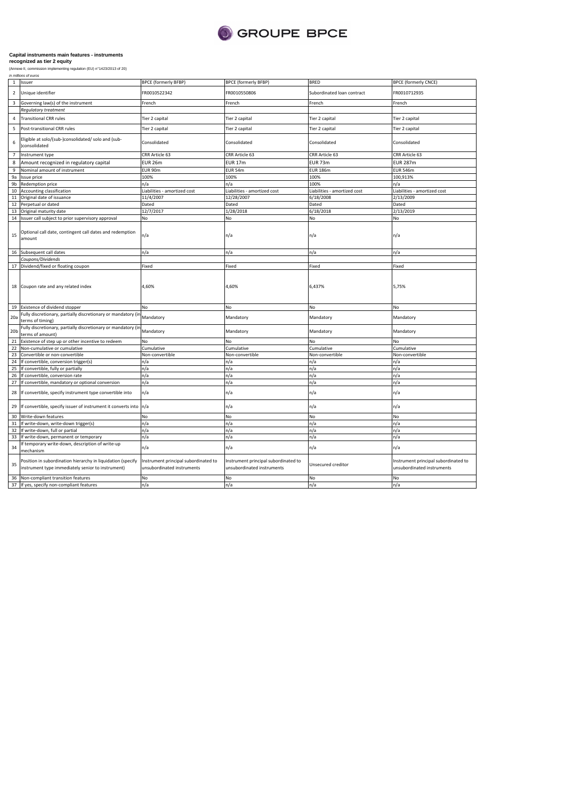

|                 | in millions of euros                                                                                             |                                                                    |                                                                    |                              |                                                                    |
|-----------------|------------------------------------------------------------------------------------------------------------------|--------------------------------------------------------------------|--------------------------------------------------------------------|------------------------------|--------------------------------------------------------------------|
| 1               | Issuer                                                                                                           | <b>BPCE (formerly BFBP)</b>                                        | <b>BPCE (formerly BFBP)</b>                                        | <b>BRED</b>                  | <b>BPCE (formerly CNCE)</b>                                        |
| $\mathbf 2$     | Unique identifier                                                                                                | FR0010522342                                                       | FR0010550806                                                       | Subordinated loan contract   | FR0010712935                                                       |
| 3               | Governing law(s) of the instrument                                                                               | French                                                             | French                                                             | French                       | French                                                             |
|                 | Regulatory treatment                                                                                             |                                                                    |                                                                    |                              |                                                                    |
| 4               | <b>Transitional CRR rules</b>                                                                                    | Tier 2 capital                                                     | Tier 2 capital                                                     | Tier 2 capital               | Tier 2 capital                                                     |
| 5               | Post-transitional CRR rules                                                                                      | Tier 2 capital                                                     | Tier 2 capital                                                     | Tier 2 capital               | Tier 2 capital                                                     |
| 6               | Eligible at solo/(sub-)consolidated/ solo and (sub-<br>consolidated                                              | Consolidated                                                       | Consolidated                                                       | Consolidated                 | Consolidated                                                       |
| $\overline{7}$  | Instrument type                                                                                                  | CRR Article 63                                                     | CRR Article 63                                                     | CRR Article 63               | CRR Article 63                                                     |
| 8               | Amount recognized in regulatory capital                                                                          | <b>EUR 26m</b>                                                     | <b>EUR 17m</b>                                                     | <b>EUR 73m</b>               | <b>EUR 287m</b>                                                    |
| 9               | Nominal amount of instrument                                                                                     | EUR 90m                                                            | EUR 54m                                                            | <b>EUR 186m</b>              | <b>EUR 546m</b>                                                    |
| 9a              | Issue price                                                                                                      | 100%                                                               | 100%                                                               | 100%                         | 100,913%                                                           |
| 9b              | Redemption price                                                                                                 | n/a                                                                | n/a                                                                | 100%                         | n/a                                                                |
|                 |                                                                                                                  |                                                                    |                                                                    |                              |                                                                    |
| 10              | Accounting classification                                                                                        | Liabilities - amortized cost                                       | Liabilities - amortized cost                                       | Liabilities - amortized cost | Liabilities - amortized cost                                       |
| $11\,$          | Original date of issuance                                                                                        | 11/4/2007                                                          | 12/28/2007                                                         | 6/18/2008                    | 2/13/2009                                                          |
| 12              | Perpetual or dated                                                                                               | Dated                                                              | Dated                                                              | Dated                        | Dated                                                              |
| 13              | Original maturity date                                                                                           | 12/7/2017                                                          | 1/28/2018                                                          | 6/18/2018                    | 2/13/2019                                                          |
|                 | 14 Issuer call subject to prior supervisory approval                                                             | No                                                                 | No                                                                 | No                           | No                                                                 |
| 15              | Optional call date, contingent call dates and redemption<br>amount                                               | n/a                                                                | n/a                                                                | n/a                          | n/a                                                                |
|                 | 16 Subsequent call dates                                                                                         | n/a                                                                | n/a                                                                | n/a                          | n/a                                                                |
|                 | Coupons/Dividends                                                                                                |                                                                    |                                                                    |                              |                                                                    |
| 17              | Dividend/fixed or floating coupon                                                                                | Fixed                                                              | Fixed                                                              | Fixed                        | Fixed                                                              |
|                 | 18 Coupon rate and any related index                                                                             | 4,60%                                                              | 4,60%                                                              | 6,437%                       | 5,75%                                                              |
|                 | 19 Existence of dividend stopper                                                                                 | No                                                                 | No                                                                 | No                           | No                                                                 |
| 20a             | Fully discretionary, partially discretionary or mandatory (ii<br>terms of timing)                                | Mandatory                                                          | Mandatory                                                          | Mandatory                    | Mandatory                                                          |
| 20 <sub>b</sub> | Fully discretionary, partially discretionary or mandatory (ii<br>terms of amount)                                | Mandatory                                                          | Mandatory                                                          | Mandatory                    | Mandatory                                                          |
| 21              | Existence of step up or other incentive to redeem                                                                | No                                                                 | No                                                                 | No                           | NΩ                                                                 |
| 22              | Non-cumulative or cumulative                                                                                     | Cumulative                                                         | Cumulative                                                         | Cumulative                   | Cumulative                                                         |
| 23              | Convertible or non-convertible                                                                                   | Non-convertible                                                    | Non-convertible                                                    | Non-convertible              | Non-convertible                                                    |
| 24              | If convertible, conversion trigger(s)                                                                            | ٦/a                                                                | n/a                                                                | n/a                          | n/a                                                                |
| 25              | If convertible, fully or partially                                                                               | n/a                                                                | n/a                                                                | n/a                          | n/a                                                                |
| 26              | If convertible, conversion rate                                                                                  | n/a                                                                | n/a                                                                | n/a                          | n/a                                                                |
| 27              | If convertible, mandatory or optional conversion                                                                 | n/a                                                                | n/a                                                                | n/a                          | n/a                                                                |
| 28              | If convertible, specify instrument type convertible into                                                         | n/a                                                                | n/a                                                                | n/a                          | n/a                                                                |
| 29              | If convertible, specify issuer of instrument it converts into                                                    | n/a                                                                | n/a                                                                | n/a                          | n/a                                                                |
| 30              | Write-down features                                                                                              | No                                                                 | No                                                                 | No                           | No                                                                 |
| 31              | If write-down, write-down trigger(s)                                                                             | n/a                                                                | n/a                                                                | n/a                          | n/a                                                                |
| 32              | If write-down, full or partial                                                                                   | n/a                                                                | n/a                                                                | n/a                          | n/a                                                                |
| 33              | If write-down, permanent or temporary                                                                            | n/a                                                                | n/a                                                                | n/a                          | n/a                                                                |
| 34              | If temporary write-down, description of write-up<br>mechanism                                                    | n/a                                                                | n/a                                                                | n/a                          | n/a                                                                |
| 35              | Position in subordination hierarchy in liquidation (specify<br>instrument type immediately senior to instrument) | Instrument principal subordinated to<br>unsubordinated instruments | Instrument principal subordinated to<br>unsubordinated instruments | Unsecured creditor           | Instrument principal subordinated to<br>unsubordinated instruments |
| 36              | Non-compliant transition features                                                                                | No                                                                 | No                                                                 | No                           | No                                                                 |
|                 | 37 If yes, specify non-compliant features                                                                        | n/a                                                                | n/a                                                                | n/a                          | n/a                                                                |
|                 |                                                                                                                  |                                                                    |                                                                    |                              |                                                                    |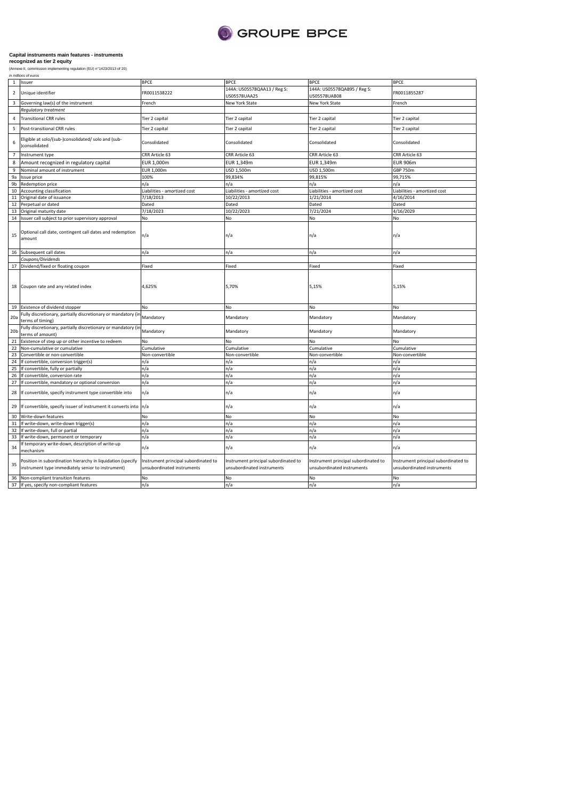

|                         | in millions of euros                                                                                            |                                                                    |                                                                    |                                                                    |                                                                    |
|-------------------------|-----------------------------------------------------------------------------------------------------------------|--------------------------------------------------------------------|--------------------------------------------------------------------|--------------------------------------------------------------------|--------------------------------------------------------------------|
| $\mathbf{1}$            | Issuer                                                                                                          | <b>BPCE</b>                                                        | <b>BPCE</b>                                                        | <b>BPCE</b>                                                        | <b>BPCE</b>                                                        |
| $\overline{2}$          | Unique identifier                                                                                               | FR0011538222                                                       | 144A: US05578QAA13 / Reg S:<br>US05578UAA25                        | 144A: US05578QAB95 / Reg S:<br>US05578UAB08                        | FR0011855287                                                       |
| $\overline{\mathbf{3}}$ | Governing law(s) of the instrument                                                                              | French                                                             | New York State                                                     | New York State                                                     | French                                                             |
|                         | Regulatory treatment                                                                                            |                                                                    |                                                                    |                                                                    |                                                                    |
| $\overline{a}$          | <b>Transitional CRR rules</b>                                                                                   | Tier 2 capital                                                     | Tier 2 capital                                                     | Tier 2 capital                                                     | Tier 2 capital                                                     |
|                         |                                                                                                                 |                                                                    |                                                                    |                                                                    |                                                                    |
| 5                       | Post-transitional CRR rules                                                                                     | Tier 2 capital                                                     | Tier 2 capital                                                     | Tier 2 capital                                                     | Tier 2 capital                                                     |
| 6                       | Eligible at solo/(sub-)consolidated/ solo and (sub-<br>consolidated                                             | Consolidated                                                       | Consolidated                                                       | Consolidated                                                       | Consolidated                                                       |
| $\overline{7}$          | Instrument type                                                                                                 | CRR Article 63                                                     | CRR Article 63                                                     | CRR Article 63                                                     | CRR Article 63                                                     |
| 8                       | Amount recognized in regulatory capital                                                                         | EUR 1,000m                                                         | EUR 1,349m                                                         | EUR 1,349m                                                         | <b>EUR 906m</b>                                                    |
| 9                       | Nominal amount of instrument                                                                                    | EUR 1,000m                                                         | USD 1,500m                                                         | USD 1,500m                                                         | GBP 750m                                                           |
| 9a                      | ssue price                                                                                                      | 100%                                                               | 99,834%                                                            | 99,815%                                                            | 99,715%                                                            |
| 9b                      |                                                                                                                 |                                                                    |                                                                    |                                                                    |                                                                    |
|                         | Redemption price                                                                                                | n/a                                                                | ٦/a                                                                | n/a                                                                | n/a                                                                |
| 10                      | Accounting classification                                                                                       | Liabilities - amortized cost                                       | Liabilities - amortized cost                                       | Liabilities - amortized cost                                       | Liabilities - amortized cost                                       |
| $11\,$                  | Original date of issuance                                                                                       | 7/18/2013                                                          | 10/22/2013                                                         | 1/21/2014                                                          | 4/16/2014                                                          |
| 12                      | Perpetual or dated                                                                                              | Dated                                                              | Dated                                                              | Dated                                                              | Dated                                                              |
| 13                      | Original maturity date                                                                                          | 7/18/2023                                                          | 10/22/2023                                                         | 7/21/2024                                                          | 4/16/2029                                                          |
| 14                      | Issuer call subject to prior supervisory approval                                                               | No                                                                 | No                                                                 | No                                                                 | No                                                                 |
| 15                      | Optional call date, contingent call dates and redemption<br>amount                                              | n/a                                                                | n/a                                                                | n/a                                                                | n/a                                                                |
|                         | 16 Subsequent call dates                                                                                        | n/a                                                                | n/a                                                                | n/a                                                                | n/a                                                                |
|                         | Coupons/Dividends                                                                                               |                                                                    |                                                                    |                                                                    |                                                                    |
| 17                      | Dividend/fixed or floating coupon                                                                               | Fixed                                                              | Fixed                                                              | Fixed                                                              | Fixed                                                              |
| 18                      | Coupon rate and any related index                                                                               | 4,625%                                                             | 5,70%                                                              | 5,15%                                                              | 5,15%                                                              |
|                         | 19 Existence of dividend stopper                                                                                | No                                                                 | No                                                                 | No                                                                 | No                                                                 |
|                         | Fully discretionary, partially discretionary or mandatory (in                                                   |                                                                    |                                                                    |                                                                    |                                                                    |
| 20a                     | terms of timing)                                                                                                | Mandatory                                                          | Mandatory                                                          | Mandatory                                                          | Mandatory                                                          |
| 20 <sub>b</sub>         | Fully discretionary, partially discretionary or mandatory (in<br>terms of amount)                               | Mandatory                                                          | Mandatory                                                          | Mandatory                                                          | Mandatory                                                          |
| 21                      | Existence of step up or other incentive to redeem                                                               | No                                                                 | No                                                                 | No                                                                 | No                                                                 |
| 22                      | Non-cumulative or cumulative                                                                                    | Cumulative                                                         | Cumulative                                                         | Cumulative                                                         | Cumulative                                                         |
| 23                      | Convertible or non-convertible                                                                                  | Non-convertible                                                    | Non-convertible                                                    | Non-convertible                                                    | Non-convertible                                                    |
| 24                      | If convertible, conversion trigger(s)                                                                           | ٦/a                                                                | n/a                                                                | n/a                                                                | n/a                                                                |
| 25                      | If convertible, fully or partially                                                                              | n/a                                                                | n/a                                                                | n/a                                                                | n/a                                                                |
| 26                      | If convertible, conversion rate                                                                                 | n/a                                                                | n/a                                                                | n/a                                                                | n/a                                                                |
| 27                      | f convertible, mandatory or optional conversion                                                                 | n/a                                                                | n/a                                                                | n/a                                                                | n/a                                                                |
| 28                      | If convertible, specify instrument type convertible into                                                        | n/a                                                                | n/a                                                                | n/a                                                                | n/a                                                                |
| 29                      | If convertible, specify issuer of instrument it converts into n/a                                               |                                                                    | n/a                                                                | n/a                                                                | n/a                                                                |
| 30                      | Write-down features                                                                                             | No                                                                 | No                                                                 | No                                                                 | No                                                                 |
| 31                      | If write-down, write-down trigger(s)                                                                            | n/a                                                                | n/a                                                                | n/a                                                                | n/a                                                                |
| 32                      | If write-down, full or partial                                                                                  | n/a                                                                | n/a                                                                | n/a                                                                | n/a                                                                |
| 33                      | f write-down, permanent or temporary                                                                            | n/a                                                                | n/a                                                                | n/a                                                                | n/a                                                                |
|                         |                                                                                                                 |                                                                    |                                                                    |                                                                    |                                                                    |
| 34                      | f temporary write-down, description of write-up<br>nechanism                                                    | n/a                                                                | n/a                                                                | n/a                                                                | n/a                                                                |
| 35                      | Position in subordination hierarchy in liquidation (specify<br>nstrument type immediately senior to instrument) | Instrument principal subordinated to<br>unsubordinated instruments | Instrument principal subordinated to<br>unsubordinated instruments | Instrument principal subordinated to<br>unsubordinated instruments | Instrument principal subordinated to<br>unsubordinated instruments |
| 36                      | Non-compliant transition features                                                                               | <b>No</b>                                                          | No                                                                 | No                                                                 | No                                                                 |
|                         | 37 If yes, specify non-compliant features                                                                       | n/a                                                                | n/a                                                                | n/a                                                                | n/a                                                                |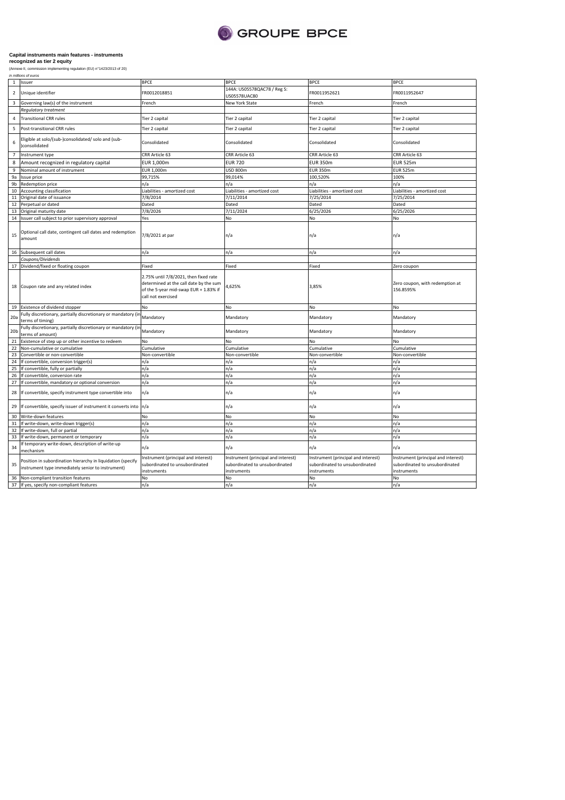

| in millions of euros |  |
|----------------------|--|
|----------------------|--|

|                 | 1 Issuer                                                                                                         | <b>BPCE</b>                                                                                                                                    | <b>BPCE</b>                                                                          | <b>BPCE</b>                                                                          | <b>BPCE</b>                                                                          |
|-----------------|------------------------------------------------------------------------------------------------------------------|------------------------------------------------------------------------------------------------------------------------------------------------|--------------------------------------------------------------------------------------|--------------------------------------------------------------------------------------|--------------------------------------------------------------------------------------|
| $\overline{2}$  | Unique identifier                                                                                                | FR0012018851                                                                                                                                   | 144A: US05578QAC78 / Reg S:<br>US05578UAC80                                          | FR0011952621                                                                         | FR0011952647                                                                         |
| 3               | Governing law(s) of the instrument                                                                               | French                                                                                                                                         | New York State                                                                       | French                                                                               | French                                                                               |
|                 | Regulatory treatment                                                                                             |                                                                                                                                                |                                                                                      |                                                                                      |                                                                                      |
| $\sqrt{4}$      | <b>Transitional CRR rules</b>                                                                                    | Tier 2 capital                                                                                                                                 | Tier 2 capital                                                                       | Tier 2 capital                                                                       | Tier 2 capital                                                                       |
| 5               | Post-transitional CRR rules                                                                                      | Tier 2 capital                                                                                                                                 | Tier 2 capital                                                                       | Tier 2 capital                                                                       | Tier 2 capital                                                                       |
| 6               | Eligible at solo/(sub-)consolidated/ solo and (sub-<br>)consolidated                                             | Consolidated                                                                                                                                   | Consolidated                                                                         | Consolidated                                                                         | Consolidated                                                                         |
| $\overline{7}$  | Instrument type                                                                                                  | CRR Article 63                                                                                                                                 | CRR Article 63                                                                       | CRR Article 63                                                                       | CRR Article 63                                                                       |
| 8               | Amount recognized in regulatory capital                                                                          | EUR 1,000m                                                                                                                                     | <b>EUR 720</b>                                                                       | <b>EUR 350m</b>                                                                      | <b>EUR 525m</b>                                                                      |
| 9               | Nominal amount of instrument                                                                                     | EUR 1,000m                                                                                                                                     | <b>USD 800m</b>                                                                      | <b>EUR 350m</b>                                                                      | <b>EUR 525m</b>                                                                      |
| 9a              | Issue price                                                                                                      | 99,715%                                                                                                                                        | 99,014%                                                                              | 100,520%                                                                             | 100%                                                                                 |
| 9b              |                                                                                                                  | n/a                                                                                                                                            | n/a                                                                                  | n/a                                                                                  | n/a                                                                                  |
|                 | Redemption price                                                                                                 |                                                                                                                                                |                                                                                      |                                                                                      |                                                                                      |
| 10              | Accounting classification                                                                                        | Liabilities - amortized cost                                                                                                                   | Liabilities - amortized cost                                                         | Liabilities - amortized cost                                                         | Liabilities - amortized cost                                                         |
| 11              | Original date of issuance                                                                                        | 7/8/2014                                                                                                                                       | 7/11/2014                                                                            | 7/25/2014                                                                            | 7/25/2014                                                                            |
| 12              | Perpetual or dated                                                                                               | Dated                                                                                                                                          | Dated                                                                                | Dated                                                                                | Dated                                                                                |
| 13              | Original maturity date                                                                                           | 7/8/2026                                                                                                                                       | 7/11/2024                                                                            | 6/25/2026                                                                            | 6/25/2026                                                                            |
| 14              | Issuer call subject to prior supervisory approval                                                                | Yes                                                                                                                                            | No                                                                                   | No                                                                                   | No                                                                                   |
| 15              | Optional call date, contingent call dates and redemption<br>amount                                               | 7/8/2021 at par                                                                                                                                | n/a                                                                                  | n/a                                                                                  | n/a                                                                                  |
|                 | 16 Subsequent call dates                                                                                         | n/a                                                                                                                                            | n/a                                                                                  | n/a                                                                                  | n/a                                                                                  |
|                 | Coupons/Dividends                                                                                                |                                                                                                                                                |                                                                                      |                                                                                      |                                                                                      |
| 17              | Dividend/fixed or floating coupon                                                                                | Fixed                                                                                                                                          | Fixed                                                                                | Fixed                                                                                | Zero coupon                                                                          |
|                 | 18 Coupon rate and any related index                                                                             | 2.75% until 7/8/2021, then fixed rate<br>determined at the call date by the sum<br>of the 5-year mid-swap EUR + 1.83% if<br>call not exercised | 4,625%                                                                               | 3,85%                                                                                | Zero coupon, with redemption at<br>156.8595%                                         |
| 19              | Existence of dividend stopper                                                                                    | <b>No</b>                                                                                                                                      | No                                                                                   | No                                                                                   | No                                                                                   |
| 20a             | Fully discretionary, partially discretionary or mandatory (in<br>terms of timing)                                | Mandatory                                                                                                                                      | Mandatory                                                                            | Mandatory                                                                            | Mandatory                                                                            |
| 20 <sub>b</sub> | Fully discretionary, partially discretionary or mandatory (ir<br>terms of amount)                                | Mandatory                                                                                                                                      | Mandatory                                                                            | Mandatory                                                                            | Mandatory                                                                            |
| 21              | Existence of step up or other incentive to redeem                                                                | No                                                                                                                                             | No                                                                                   | No                                                                                   | No                                                                                   |
| 22              | Non-cumulative or cumulative                                                                                     | Cumulative                                                                                                                                     | Cumulative                                                                           | Cumulative                                                                           | Cumulative                                                                           |
| 23              | Convertible or non-convertible                                                                                   | Non-convertible                                                                                                                                | Non-convertible                                                                      | Non-convertible                                                                      | Non-convertible                                                                      |
| 24              | If convertible, conversion trigger(s)                                                                            | n/a                                                                                                                                            | n/a                                                                                  | n/a                                                                                  | n/a                                                                                  |
| 25              | If convertible, fully or partially                                                                               | n/a                                                                                                                                            | n/a                                                                                  | n/a                                                                                  | n/a                                                                                  |
| 26              | If convertible, conversion rate                                                                                  | n/a                                                                                                                                            | n/a                                                                                  | n/a                                                                                  | n/a                                                                                  |
| 27              | If convertible, mandatory or optional conversion                                                                 | n/a                                                                                                                                            | n/a                                                                                  | n/a                                                                                  | n/a                                                                                  |
| 28              | If convertible, specify instrument type convertible into                                                         | n/a                                                                                                                                            | n/a                                                                                  | n/a                                                                                  | n/a                                                                                  |
| 29              | If convertible, specify issuer of instrument it converts into                                                    | n/a                                                                                                                                            | n/a                                                                                  | n/a                                                                                  | n/a                                                                                  |
| 30              | Write-down features                                                                                              | No                                                                                                                                             | No                                                                                   | No                                                                                   | No                                                                                   |
| 31              | If write-down, write-down trigger(s)                                                                             | n/a                                                                                                                                            | n/a                                                                                  | n/a                                                                                  | n/a                                                                                  |
| 32              | If write-down, full or partial                                                                                   | n/a                                                                                                                                            | n/a                                                                                  | n/a                                                                                  | n/a                                                                                  |
| 33              | If write-down, permanent or temporary                                                                            | n/a                                                                                                                                            | n/a                                                                                  | n/a                                                                                  | n/a                                                                                  |
| 34              | If temporary write-down, description of write-up<br>mechanism                                                    | n/a                                                                                                                                            | n/a                                                                                  | n/a                                                                                  | n/a                                                                                  |
| 35              | Position in subordination hierarchy in liquidation (specify<br>instrument type immediately senior to instrument) | Instrument (principal and interest)<br>subordinated to unsubordinated<br>instruments                                                           | Instrument (principal and interest)<br>subordinated to unsubordinated<br>instruments | Instrument (principal and interest)<br>subordinated to unsubordinated<br>instruments | Instrument (principal and interest)<br>subordinated to unsubordinated<br>instruments |
|                 | 36 Non-compliant transition features                                                                             | No                                                                                                                                             | No                                                                                   | <b>No</b>                                                                            | <b>No</b>                                                                            |
|                 | 37 If yes, specify non-compliant features                                                                        | n/a                                                                                                                                            | n/a                                                                                  | n/a                                                                                  | n/a                                                                                  |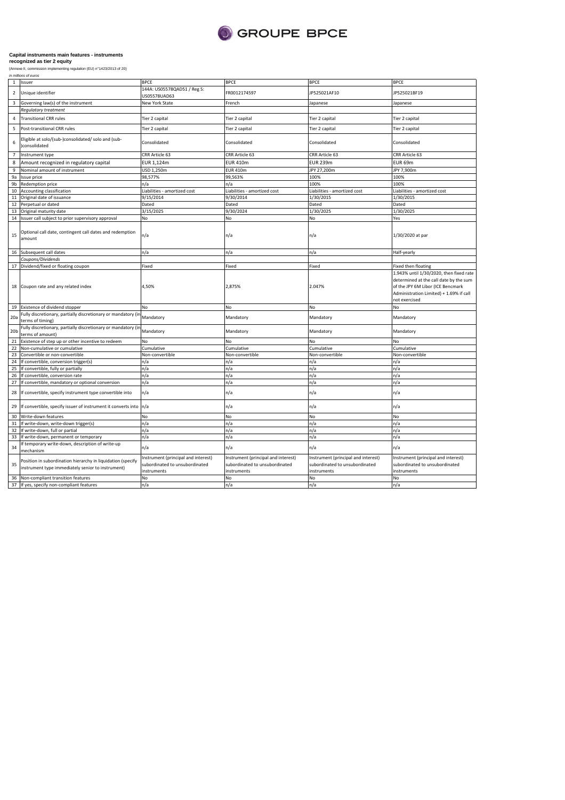

(Annexe II, commission implementing regulation (EU) n°1423/2013 of 20)<br>*in millions of euros* 

| (Annexe II, commission i |  |
|--------------------------|--|
| to millions of suppo     |  |

|                 | 1 Issuer                                                                                                         | <b>BPCE</b>                                                                          | <b>BPCE</b>                                                                          | <b>BPCE</b>                                                                          | <b>BPCE</b>                                                                                                                                                                        |
|-----------------|------------------------------------------------------------------------------------------------------------------|--------------------------------------------------------------------------------------|--------------------------------------------------------------------------------------|--------------------------------------------------------------------------------------|------------------------------------------------------------------------------------------------------------------------------------------------------------------------------------|
| $\mathbf 2$     | Unique identifier                                                                                                | 144A: US05578QAD51 / Reg S:<br>US05578UAD63                                          | FR0012174597                                                                         | JP525021AF10                                                                         | JP525021BF19                                                                                                                                                                       |
| 3               | Governing law(s) of the instrument                                                                               | New York State                                                                       | French                                                                               | Japanese                                                                             | Japanese                                                                                                                                                                           |
|                 | Regulatory treatment                                                                                             |                                                                                      |                                                                                      |                                                                                      |                                                                                                                                                                                    |
| $\overline{4}$  | <b>Transitional CRR rules</b>                                                                                    | Tier 2 capital                                                                       | Tier 2 capital                                                                       | Tier 2 capital                                                                       | Tier 2 capital                                                                                                                                                                     |
| 5               | Post-transitional CRR rules                                                                                      | Tier 2 capital                                                                       | Tier 2 capital                                                                       | Tier 2 capital                                                                       | Tier 2 capital                                                                                                                                                                     |
| 6               | Eligible at solo/(sub-)consolidated/ solo and (sub-<br>)consolidated                                             | Consolidated                                                                         | Consolidated                                                                         | Consolidated                                                                         | Consolidated                                                                                                                                                                       |
| $\overline{7}$  | Instrument type                                                                                                  | CRR Article 63                                                                       | CRR Article 63                                                                       | CRR Article 63                                                                       | CRR Article 63                                                                                                                                                                     |
| 8               | Amount recognized in regulatory capital                                                                          | EUR 1,124m                                                                           | <b>EUR 410m</b>                                                                      | <b>EUR 239m</b>                                                                      | EUR 69m                                                                                                                                                                            |
| 9               | Nominal amount of instrument                                                                                     | USD 1,250m                                                                           | <b>EUR 410m</b>                                                                      | JPY 27,200m                                                                          | JPY 7,900m                                                                                                                                                                         |
| 9a              | Issue price                                                                                                      | 98,577%                                                                              | 99,563%                                                                              | 100%                                                                                 | 100%                                                                                                                                                                               |
|                 |                                                                                                                  |                                                                                      |                                                                                      |                                                                                      |                                                                                                                                                                                    |
| 9b              | Redemption price                                                                                                 | n/a                                                                                  | n/a                                                                                  | 100%                                                                                 | 100%                                                                                                                                                                               |
| 10              | Accounting classification                                                                                        | Liabilities - amortized cost                                                         | Liabilities - amortized cost                                                         | Liabilities - amortized cost                                                         | Liabilities - amortized cost                                                                                                                                                       |
|                 | 11 Original date of issuance                                                                                     | 9/15/2014                                                                            | 9/30/2014                                                                            | 1/30/2015                                                                            | 1/30/2015                                                                                                                                                                          |
| 12              | Perpetual or dated                                                                                               | Dated                                                                                | Dated                                                                                | Dated                                                                                | Dated                                                                                                                                                                              |
| 13              | Original maturity date                                                                                           | 3/15/2025                                                                            | 9/30/2024                                                                            | 1/30/2025                                                                            | 1/30/2025                                                                                                                                                                          |
| 14              | Issuer call subject to prior supervisory approval                                                                | No                                                                                   | No                                                                                   | No                                                                                   | Yes                                                                                                                                                                                |
| 15              | Optional call date, contingent call dates and redemption<br>amount                                               | ٦/a                                                                                  | n/a                                                                                  | n/a                                                                                  | 1/30/2020 at par                                                                                                                                                                   |
|                 | 16 Subsequent call dates                                                                                         | n/a                                                                                  | n/a                                                                                  | n/a                                                                                  | Half-yearly                                                                                                                                                                        |
|                 | Coupons/Dividends                                                                                                |                                                                                      |                                                                                      |                                                                                      |                                                                                                                                                                                    |
|                 | 17 Dividend/fixed or floating coupon                                                                             | Fixed                                                                                | Fixed                                                                                | Fixed                                                                                | Fixed then floating                                                                                                                                                                |
|                 | 18 Coupon rate and any related index                                                                             | 4,50%                                                                                | 2,875%                                                                               | 2.047%                                                                               | 1.943% until 1/30/2020, then fixed rate<br>determined at the call date by the sum<br>of the JPY 6M Libor (ICE Bencmark<br>Administration Limited) + 1.69% if call<br>not exercised |
| 19              | Existence of dividend stopper                                                                                    | No                                                                                   | No                                                                                   | No                                                                                   | No                                                                                                                                                                                 |
| 20a             | Fully discretionary, partially discretionary or mandatory (in<br>terms of timing)                                | Mandatory                                                                            | Mandatory                                                                            | Mandatory                                                                            | Mandatory                                                                                                                                                                          |
| 20 <sub>b</sub> | Fully discretionary, partially discretionary or mandatory (ir<br>terms of amount)                                | Mandatory                                                                            | Mandatory                                                                            | Mandatory                                                                            | Mandatory                                                                                                                                                                          |
| 21              | Existence of step up or other incentive to redeem                                                                | No                                                                                   | No                                                                                   | No                                                                                   | No                                                                                                                                                                                 |
| 22              | Non-cumulative or cumulative                                                                                     |                                                                                      | Cumulative                                                                           |                                                                                      |                                                                                                                                                                                    |
|                 |                                                                                                                  | Cumulative                                                                           |                                                                                      | Cumulative                                                                           | Cumulative                                                                                                                                                                         |
| 23              | Convertible or non-convertible                                                                                   | Non-convertible                                                                      | Non-convertible                                                                      | Non-convertible                                                                      | Non-convertible                                                                                                                                                                    |
| 24              | If convertible, conversion trigger(s)                                                                            | n/a                                                                                  | n/a                                                                                  | n/a                                                                                  | n/a                                                                                                                                                                                |
| 25              | If convertible, fully or partially                                                                               | n/a                                                                                  | n/a                                                                                  | n/a                                                                                  | n/a                                                                                                                                                                                |
| 26              | If convertible, conversion rate                                                                                  | n/a                                                                                  | n/a                                                                                  | n/a                                                                                  | n/a                                                                                                                                                                                |
| 27              | If convertible, mandatory or optional conversion                                                                 | n/a                                                                                  | n/a                                                                                  | n/a                                                                                  | n/a                                                                                                                                                                                |
| 28              | If convertible, specify instrument type convertible into                                                         | n/a                                                                                  | n/a                                                                                  | n/a                                                                                  | n/a                                                                                                                                                                                |
|                 | 29 If convertible, specify issuer of instrument it converts into                                                 | n/a                                                                                  | n/a                                                                                  | n/a                                                                                  | n/a                                                                                                                                                                                |
| 30              | Write-down features                                                                                              | No                                                                                   | No                                                                                   | No                                                                                   | No                                                                                                                                                                                 |
|                 | 31 If write-down, write-down trigger(s)                                                                          | n/a                                                                                  | n/a                                                                                  | n/a                                                                                  | n/a                                                                                                                                                                                |
| 32              | If write-down, full or partial                                                                                   | n/a                                                                                  | n/a                                                                                  | n/a                                                                                  | n/a                                                                                                                                                                                |
| 33              |                                                                                                                  | n/a                                                                                  |                                                                                      | n/a                                                                                  | n/a                                                                                                                                                                                |
|                 | If write-down, permanent or temporary                                                                            |                                                                                      | n/a                                                                                  |                                                                                      |                                                                                                                                                                                    |
| 34              | If temporary write-down, description of write-up<br>mechanism                                                    | n/a                                                                                  | n/a                                                                                  | n/a                                                                                  | n/a                                                                                                                                                                                |
| 35              | Position in subordination hierarchy in liquidation (specify<br>instrument type immediately senior to instrument) | Instrument (principal and interest)<br>subordinated to unsubordinated<br>instruments | Instrument (principal and interest)<br>subordinated to unsubordinated<br>instruments | Instrument (principal and interest)<br>subordinated to unsubordinated<br>instruments | nstrument (principal and interest)<br>subordinated to unsubordinated<br>instruments                                                                                                |
|                 | 36 Non-compliant transition features                                                                             | No                                                                                   | No                                                                                   | No                                                                                   | No                                                                                                                                                                                 |
|                 | 37 If yes, specify non-compliant features                                                                        | n/a                                                                                  | n/a                                                                                  | n/a                                                                                  | n/a                                                                                                                                                                                |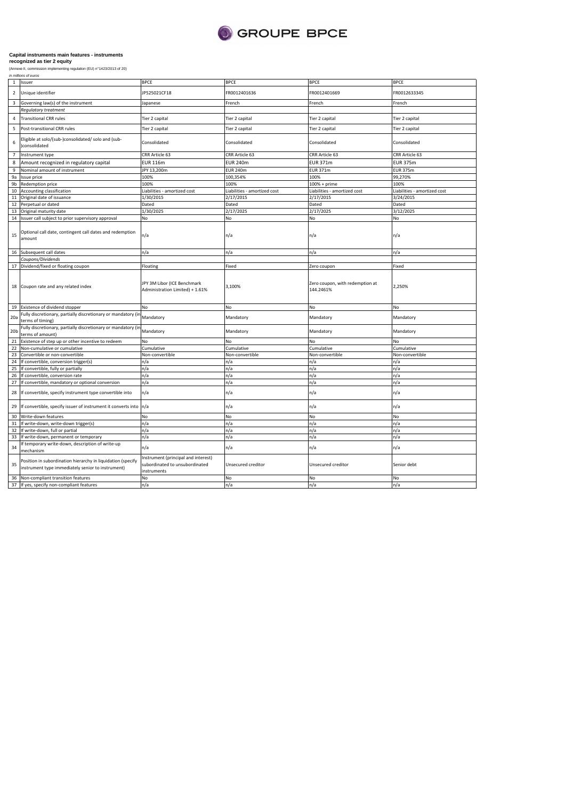

|                  | in millions of euros                                                                                             |                                                                                      |                              |                                              |                              |
|------------------|------------------------------------------------------------------------------------------------------------------|--------------------------------------------------------------------------------------|------------------------------|----------------------------------------------|------------------------------|
| <sup>1</sup>     | Issuer                                                                                                           | <b>BPCE</b>                                                                          | <b>BPCE</b>                  | <b>BPCE</b>                                  | <b>BPCE</b>                  |
| $\overline{2}$   | Unique identifier                                                                                                | JP525021CF18                                                                         | FR0012401636                 | FR0012401669                                 | FR0012633345                 |
| 3                | Governing law(s) of the instrument                                                                               | lapanese                                                                             | French                       | French                                       | French                       |
|                  | Regulatory treatment                                                                                             |                                                                                      |                              |                                              |                              |
| $\overline{4}$   | <b>Transitional CRR rules</b>                                                                                    | Tier 2 capital                                                                       | Tier 2 capital               | Tier 2 capital                               | Tier 2 capital               |
| 5                | Post-transitional CRR rules                                                                                      | Tier 2 capital                                                                       | Tier 2 capital               | Tier 2 capital                               | Tier 2 capital               |
| 6                | Eligible at solo/(sub-)consolidated/ solo and (sub-<br>consolidated                                              | Consolidated                                                                         | Consolidated                 | Consolidated                                 | Consolidated                 |
| $\overline{7}$   | Instrument type                                                                                                  | CRR Article 63                                                                       | CRR Article 63               | CRR Article 63                               | CRR Article 63               |
| 8                | Amount recognized in regulatory capital                                                                          | <b>EUR 116m</b>                                                                      | <b>EUR 240m</b>              | <b>EUR 371m</b>                              | <b>EUR 375m</b>              |
| $\boldsymbol{9}$ | Nominal amount of instrument                                                                                     | JPY 13,200m                                                                          | <b>EUR 240m</b>              | <b>EUR 371m</b>                              | <b>EUR 375m</b>              |
| 9a               | Issue price                                                                                                      | 100%                                                                                 | 100,354%                     | 100%                                         | 99,270%                      |
|                  |                                                                                                                  |                                                                                      | 100%                         |                                              |                              |
| 9b               | Redemption price                                                                                                 | 100%                                                                                 |                              | $100% + prime$                               | 100%                         |
| 10               | Accounting classification                                                                                        | Liabilities - amortized cost                                                         | Liabilities - amortized cost | Liabilities - amortized cost                 | Liabilities - amortized cost |
| 11               | Original date of issuance                                                                                        | 1/30/2015                                                                            | 2/17/2015                    | 2/17/2015                                    | 3/24/2015                    |
| 12               | Perpetual or dated                                                                                               | Dated                                                                                | Dated                        | Dated                                        | Dated                        |
| 13               | Original maturity date                                                                                           | 1/30/2025                                                                            | 2/17/2025                    | 2/17/2025                                    | 3/12/2025                    |
| 14               | Issuer call subject to prior supervisory approval                                                                | No                                                                                   | No                           | No                                           | No                           |
| 15               | Optional call date, contingent call dates and redemption<br>amount                                               | n/a                                                                                  | n/a                          | n/a                                          | n/a                          |
|                  | 16 Subsequent call dates                                                                                         | n/a                                                                                  | n/a                          | n/a                                          | n/a                          |
|                  | Coupons/Dividends                                                                                                |                                                                                      |                              |                                              |                              |
| 17               | Dividend/fixed or floating coupon                                                                                | Floating                                                                             | Fixed                        | Zero coupon                                  | Fixed                        |
|                  | 18 Coupon rate and any related index                                                                             | JPY 3M Libor (ICE Benchmark<br>Administration Limited) + 1.61%                       | 3,100%                       | Zero coupon, with redemption at<br>144.2461% | 2,250%                       |
|                  | 19 Existence of dividend stopper                                                                                 | No                                                                                   | No                           | No                                           | No                           |
| 20a              | Fully discretionary, partially discretionary or mandatory (ir<br>terms of timing)                                | Mandatory                                                                            | Mandatory                    | Mandatory                                    | Mandatory                    |
| 20 <sub>b</sub>  | Fully discretionary, partially discretionary or mandatory (ir<br>erms of amount)                                 | Mandatory                                                                            | Mandatory                    | Mandatory                                    | Mandatory                    |
| 21               | Existence of step up or other incentive to redeem                                                                | No                                                                                   | No                           | No                                           | NΩ                           |
| 22               | Non-cumulative or cumulative                                                                                     | Cumulative                                                                           | Cumulative                   | Cumulative                                   | Cumulative                   |
| 23               | Convertible or non-convertible                                                                                   | Non-convertible                                                                      | Non-convertible              | Non-convertible                              | Non-convertible              |
| 24               |                                                                                                                  |                                                                                      |                              |                                              |                              |
| 25               | If convertible, conversion trigger(s)                                                                            | n/a                                                                                  | n/a                          | n/a                                          | n/a                          |
| 26               | If convertible, fully or partially                                                                               | n/a                                                                                  | n/a                          | n/a<br>n/a                                   | n/a                          |
|                  | If convertible, conversion rate                                                                                  | n/a                                                                                  | n/a                          |                                              | n/a                          |
| 27               | If convertible, mandatory or optional conversion                                                                 | n/a                                                                                  | n/a                          | n/a                                          | n/a                          |
| 28               | If convertible, specify instrument type convertible into                                                         | n/a                                                                                  | n/a                          | n/a                                          | n/a                          |
| 29               | If convertible, specify issuer of instrument it converts into n/a                                                |                                                                                      | n/a                          | n/a                                          | n/a                          |
| 30               | Write-down features                                                                                              | No                                                                                   | No                           | No                                           | No                           |
| 31               | If write-down, write-down trigger(s)                                                                             | n/a                                                                                  | n/a                          | n/a                                          | n/a                          |
| 32               | If write-down, full or partial                                                                                   | n/a                                                                                  | n/a                          | n/a                                          | n/a                          |
| 33               | If write-down, permanent or temporary                                                                            | n/a                                                                                  | n/a                          | n/a                                          | n/a                          |
| 34               | f temporary write-down, description of write-up<br>mechanism                                                     | n/a                                                                                  | n/a                          | n/a                                          | n/a                          |
| 35               | Position in subordination hierarchy in liquidation (specify<br>instrument type immediately senior to instrument) | Instrument (principal and interest)<br>subordinated to unsubordinated<br>instruments | Unsecured creditor           | Unsecured creditor                           | Senior debt                  |
| 36               | Non-compliant transition features                                                                                | No                                                                                   | No                           | No                                           | No                           |
|                  | 37 If yes, specify non-compliant features                                                                        | n/a                                                                                  | n/a                          | n/a                                          | n/a                          |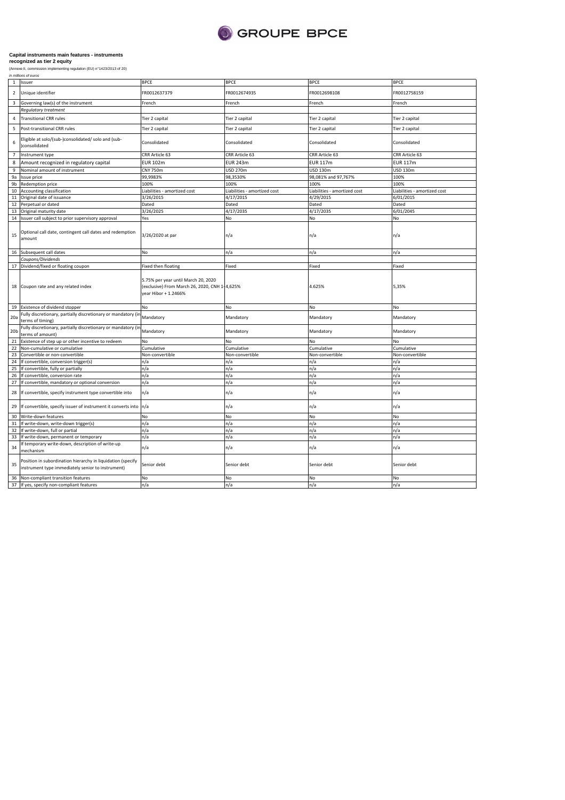

|                  | in millions of euros                                                                                             |                                                                                                              |                              |                              |                              |  |
|------------------|------------------------------------------------------------------------------------------------------------------|--------------------------------------------------------------------------------------------------------------|------------------------------|------------------------------|------------------------------|--|
| <sup>1</sup>     | Issuer                                                                                                           | <b>BPCE</b>                                                                                                  | <b>BPCE</b>                  | <b>BPCE</b>                  | <b>BPCE</b>                  |  |
| $\overline{2}$   | Unique identifier                                                                                                | FR0012637379                                                                                                 | FR0012674935                 | FR0012698108                 | FR0012758159                 |  |
| 3                | Governing law(s) of the instrument                                                                               | French                                                                                                       | French                       | French                       | French                       |  |
|                  | Regulatory treatment                                                                                             |                                                                                                              |                              |                              |                              |  |
| $\overline{4}$   | <b>Transitional CRR rules</b>                                                                                    | Tier 2 capital                                                                                               | Tier 2 capital               | Tier 2 capital               | Tier 2 capital               |  |
| 5                | Post-transitional CRR rules                                                                                      | Tier 2 capital                                                                                               | Tier 2 capital               | Tier 2 capital               | Tier 2 capital               |  |
| 6                | Eligible at solo/(sub-)consolidated/ solo and (sub-<br>consolidated                                              | Consolidated                                                                                                 | Consolidated                 | Consolidated                 | Consolidated                 |  |
| $\overline{7}$   | Instrument type                                                                                                  | CRR Article 63                                                                                               | CRR Article 63               | CRR Article 63               | CRR Article 63               |  |
| 8                | Amount recognized in regulatory capital                                                                          | <b>EUR 102m</b>                                                                                              | <b>EUR 243m</b>              | <b>EUR 117m</b>              | <b>EUR 117m</b>              |  |
|                  |                                                                                                                  |                                                                                                              |                              |                              |                              |  |
| $\boldsymbol{9}$ | Nominal amount of instrument                                                                                     | <b>CNY 750m</b>                                                                                              | USD 270m                     | USD 130m                     | USD 130m                     |  |
| 9a               | Issue price                                                                                                      | 99,9983%                                                                                                     | 98,3530%                     | 98,081% and 97,767%          | 100%                         |  |
| 9b               | Redemption price                                                                                                 | 100%                                                                                                         | 100%                         | 100%                         | 100%                         |  |
| 10               | Accounting classification                                                                                        | Liabilities - amortized cost                                                                                 | Liabilities - amortized cost | Liabilities - amortized cost | Liabilities - amortized cost |  |
| ${\bf 11}$       | Original date of issuance                                                                                        | 3/26/2015                                                                                                    | 4/17/2015                    | 4/29/2015                    | 6/01/2015                    |  |
| 12               | Perpetual or dated                                                                                               | Dated                                                                                                        | Dated                        | Dated                        | Dated                        |  |
| 13               | Original maturity date                                                                                           | 3/26/2025                                                                                                    | 4/17/2035                    | 4/17/2035                    | 6/01/2045                    |  |
| 14               | Issuer call subject to prior supervisory approval                                                                | Yes                                                                                                          | No                           | No                           | No                           |  |
| 15               | Optional call date, contingent call dates and redemption<br>amount                                               | 3/26/2020 at par                                                                                             | n/a                          | n/a                          | n/a                          |  |
|                  | 16 Subsequent call dates                                                                                         | No                                                                                                           | n/a                          | n/a                          | n/a                          |  |
|                  | Coupons/Dividends                                                                                                |                                                                                                              |                              |                              |                              |  |
| 17               | Dividend/fixed or floating coupon                                                                                | Fixed then floating                                                                                          | Fixed                        | Fixed                        | Fixed                        |  |
|                  | 18 Coupon rate and any related index                                                                             | 5.75% per year until March 20, 2020<br>(exclusive) From March 26, 2020, CNH 1-4,625%<br>year Hibor + 1.2466% |                              | 4.625%                       | 5,35%                        |  |
|                  | 19 Existence of dividend stopper                                                                                 | No                                                                                                           | No                           | No                           | No                           |  |
| 20a              | Fully discretionary, partially discretionary or mandatory (ir<br>terms of timing)                                | Mandatory                                                                                                    | Mandatory                    | Mandatory                    | Mandatory                    |  |
| 20 <sub>b</sub>  | Fully discretionary, partially discretionary or mandatory (ir<br>terms of amount)                                | Mandatory                                                                                                    | Mandatory                    | Mandatory                    | Mandatory                    |  |
| 21               | Existence of step up or other incentive to redeem                                                                | No                                                                                                           | No                           | No                           | NΩ                           |  |
| 22               | Non-cumulative or cumulative                                                                                     | Cumulative                                                                                                   | Cumulative                   | Cumulative                   | Cumulative                   |  |
| 23               | Convertible or non-convertible                                                                                   | Non-convertible                                                                                              | Non-convertible              | Non-convertible              | Non-convertible              |  |
| 24               | If convertible, conversion trigger(s)                                                                            | n/a                                                                                                          | n/a                          | n/a                          | n/a                          |  |
| 25               |                                                                                                                  |                                                                                                              |                              |                              |                              |  |
|                  | If convertible, fully or partially                                                                               | n/a                                                                                                          | n/a                          | n/a                          | n/a                          |  |
| 26               | If convertible, conversion rate                                                                                  | n/a                                                                                                          | n/a                          | n/a                          | n/a                          |  |
| 27<br>28         | If convertible, mandatory or optional conversion<br>If convertible, specify instrument type convertible into     | n/a<br>n/a                                                                                                   | n/a<br>n/a                   | n/a<br>n/a                   | n/a<br>n/a                   |  |
| 29               | If convertible, specify issuer of instrument it converts into n/a                                                |                                                                                                              | n/a                          |                              |                              |  |
|                  |                                                                                                                  |                                                                                                              |                              | n/a                          | n/a                          |  |
| 30               | Write-down features                                                                                              | No                                                                                                           | No                           | No                           | No                           |  |
| 31               | If write-down, write-down trigger(s)                                                                             | n/a                                                                                                          | n/a                          | n/a                          | n/a                          |  |
| 32               | If write-down, full or partial                                                                                   | n/a                                                                                                          | n/a                          | n/a                          | n/a                          |  |
| 33               | If write-down, permanent or temporary                                                                            | n/a                                                                                                          | n/a                          | n/a                          | n/a                          |  |
| 34               | If temporary write-down, description of write-up<br>mechanism                                                    | n/a                                                                                                          | n/a                          | n/a                          | n/a                          |  |
| 35               | Position in subordination hierarchy in liquidation (specify<br>instrument type immediately senior to instrument) | Senior debt                                                                                                  | Senior debt                  | Senior debt                  | Senior debt                  |  |
| 36               | Non-compliant transition features                                                                                | No                                                                                                           | No                           | No                           | No                           |  |
|                  | 37 If yes, specify non-compliant features                                                                        | n/a                                                                                                          | n/a                          | n/a                          | n/a                          |  |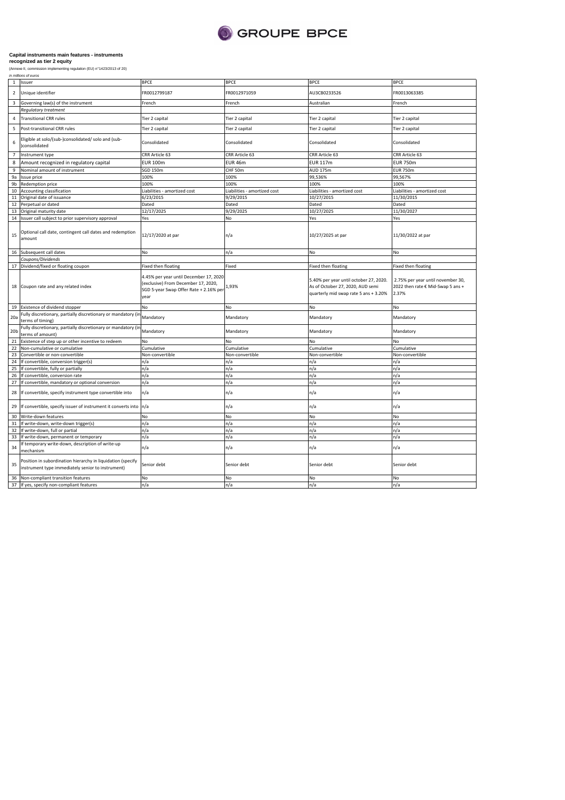

|                 | in millions of euros                                                                                             |                                                                                                                                 |                              |                                                                                                                     |                                                                                 |
|-----------------|------------------------------------------------------------------------------------------------------------------|---------------------------------------------------------------------------------------------------------------------------------|------------------------------|---------------------------------------------------------------------------------------------------------------------|---------------------------------------------------------------------------------|
| $\mathbf{1}$    | Issuer                                                                                                           | <b>BPCE</b>                                                                                                                     | <b>BPCE</b>                  | <b>BPCE</b>                                                                                                         | <b>BPCE</b>                                                                     |
| $\overline{2}$  | Unique identifier                                                                                                | FR0012799187                                                                                                                    | FR0012971059                 | AU3CB0233526                                                                                                        | FR0013063385                                                                    |
| 3               | Governing law(s) of the instrument                                                                               | French                                                                                                                          | French                       | Australian                                                                                                          | French                                                                          |
|                 | Regulatory treatment                                                                                             |                                                                                                                                 |                              |                                                                                                                     |                                                                                 |
| 4               | <b>Transitional CRR rules</b>                                                                                    | Tier 2 capital                                                                                                                  | Tier 2 capital               | Tier 2 capital                                                                                                      | Tier 2 capital                                                                  |
| 5               | Post-transitional CRR rules                                                                                      | Tier 2 capital                                                                                                                  | Tier 2 capital               | Tier 2 capital                                                                                                      | Tier 2 capital                                                                  |
| 6               | Eligible at solo/(sub-)consolidated/ solo and (sub-<br>consolidated                                              | Consolidated                                                                                                                    | Consolidated                 | Consolidated                                                                                                        | Consolidated                                                                    |
| $\overline{7}$  | Instrument type                                                                                                  | CRR Article 63                                                                                                                  | CRR Article 63               | CRR Article 63                                                                                                      | CRR Article 63                                                                  |
| 8               | Amount recognized in regulatory capital                                                                          | <b>EUR 100m</b>                                                                                                                 | EUR <sub>46m</sub>           | <b>EUR 117m</b>                                                                                                     | <b>EUR 750m</b>                                                                 |
| 9               |                                                                                                                  |                                                                                                                                 |                              |                                                                                                                     |                                                                                 |
|                 | Nominal amount of instrument                                                                                     | SGD 150m                                                                                                                        | CHF 50m                      | <b>AUD 175m</b>                                                                                                     | <b>EUR 750m</b>                                                                 |
| 9a              | Issue price                                                                                                      | 100%                                                                                                                            | 100%                         | 99,536%                                                                                                             | 99,567%                                                                         |
| 9b              | Redemption price                                                                                                 | 100%                                                                                                                            | 100%                         | 100%                                                                                                                | 100%                                                                            |
| 10              | Accounting classification                                                                                        | Liabilities - amortized cost                                                                                                    | Liabilities - amortized cost | Liabilities - amortized cost                                                                                        | Liabilities - amortized cost                                                    |
| 11              | Original date of issuance                                                                                        | 6/23/2015                                                                                                                       | 9/29/2015                    | 10/27/2015                                                                                                          | 11/30/2015                                                                      |
| 12              | Perpetual or dated                                                                                               | Dated                                                                                                                           | Dated                        | Dated                                                                                                               | Dated                                                                           |
| 13              | Original maturity date                                                                                           | 12/17/2025                                                                                                                      | 9/29/2025                    | 10/27/2025                                                                                                          | 11/30/2027                                                                      |
| 14              | Issuer call subject to prior supervisory approval                                                                | Yes                                                                                                                             | No                           | Yes                                                                                                                 | Yes                                                                             |
| 15              | Optional call date, contingent call dates and redemption<br>amount                                               | 12/17/2020 at par                                                                                                               | n/a                          | 10/27/2025 at par                                                                                                   | 11/30/2022 at par                                                               |
|                 | 16 Subsequent call dates                                                                                         | No                                                                                                                              | n/a                          | No                                                                                                                  | No                                                                              |
|                 | Coupons/Dividends                                                                                                |                                                                                                                                 |                              |                                                                                                                     |                                                                                 |
| 17              | Dividend/fixed or floating coupon                                                                                | Fixed then floating                                                                                                             | Fixed                        | Fixed then floating                                                                                                 | Fixed then floating                                                             |
|                 | 18 Coupon rate and any related index                                                                             | 4.45% per year until December 17, 2020<br>(exclusive) From December 17, 2020,<br>SGD 5-year Swap Offer Rate + 2.16% per<br>year | 1,93%                        | 5.40% per year until october 27, 2020.<br>As of October 27, 2020, AUD semi<br>quarterly mid swap rate 5 ans + 3.20% | 2.75% per year until november 30,<br>2022 then rate € Mid-Swap 5 ans +<br>2.37% |
|                 | 19 Existence of dividend stopper                                                                                 | No                                                                                                                              | No                           | No                                                                                                                  | No                                                                              |
| 20a             | Fully discretionary, partially discretionary or mandatory (ir<br>terms of timing)                                | Mandatory                                                                                                                       | Mandatory                    | Mandatory                                                                                                           | Mandatory                                                                       |
| 20 <sub>b</sub> | Fully discretionary, partially discretionary or mandatory (ir<br>terms of amount)                                | Mandatory                                                                                                                       | Mandatory                    | Mandatory                                                                                                           | Mandatory                                                                       |
| 21              | Existence of step up or other incentive to redeem                                                                | No                                                                                                                              | No                           | No                                                                                                                  | NΩ                                                                              |
| 22              | Non-cumulative or cumulative                                                                                     | Cumulative                                                                                                                      | Cumulative                   | Cumulative                                                                                                          | Cumulative                                                                      |
| 23              | Convertible or non-convertible                                                                                   | Non-convertible                                                                                                                 | Non-convertible              | Non-convertible                                                                                                     | Non-convertible                                                                 |
| 24              | If convertible, conversion trigger(s)                                                                            | n/a                                                                                                                             | n/a                          | n/a                                                                                                                 | n/a                                                                             |
| 25              |                                                                                                                  |                                                                                                                                 |                              |                                                                                                                     |                                                                                 |
|                 | If convertible, fully or partially                                                                               | n/a                                                                                                                             | n/a                          | n/a                                                                                                                 | n/a                                                                             |
| 26              | f convertible, conversion rate                                                                                   | n/a                                                                                                                             | n/a                          | n/a                                                                                                                 | n/a                                                                             |
| 27              | f convertible, mandatory or optional conversion                                                                  | n/a                                                                                                                             | n/a                          | n/a                                                                                                                 | n/a                                                                             |
| 28              | If convertible, specify instrument type convertible into                                                         | n/a                                                                                                                             | n/a                          | n/a                                                                                                                 | n/a                                                                             |
| 29              | If convertible, specify issuer of instrument it converts into                                                    | n/a                                                                                                                             | n/a                          | n/a                                                                                                                 | n/a                                                                             |
| 30              | Write-down features                                                                                              | No                                                                                                                              | No                           | No                                                                                                                  | No                                                                              |
| 31              | If write-down, write-down trigger(s)                                                                             | n/a                                                                                                                             | n/a                          | n/a                                                                                                                 | n/a                                                                             |
| 32              | If write-down, full or partial                                                                                   | n/a                                                                                                                             | n/a                          | n/a                                                                                                                 | n/a                                                                             |
| 33              | f write-down, permanent or temporary                                                                             | n/a                                                                                                                             | n/a                          | n/a                                                                                                                 | n/a                                                                             |
| 34              | f temporary write-down, description of write-up<br>mechanism                                                     | n/a                                                                                                                             | n/a                          | n/a                                                                                                                 | n/a                                                                             |
| 35              | Position in subordination hierarchy in liquidation (specify<br>instrument type immediately senior to instrument) | Senior debt                                                                                                                     | Senior debt                  | Senior debt                                                                                                         | Senior debt                                                                     |
| 36              | Non-compliant transition features                                                                                | No                                                                                                                              | No                           | No                                                                                                                  | No                                                                              |
|                 | 37 If yes, specify non-compliant features                                                                        | n/a                                                                                                                             | n/a                          | n/a                                                                                                                 | n/a                                                                             |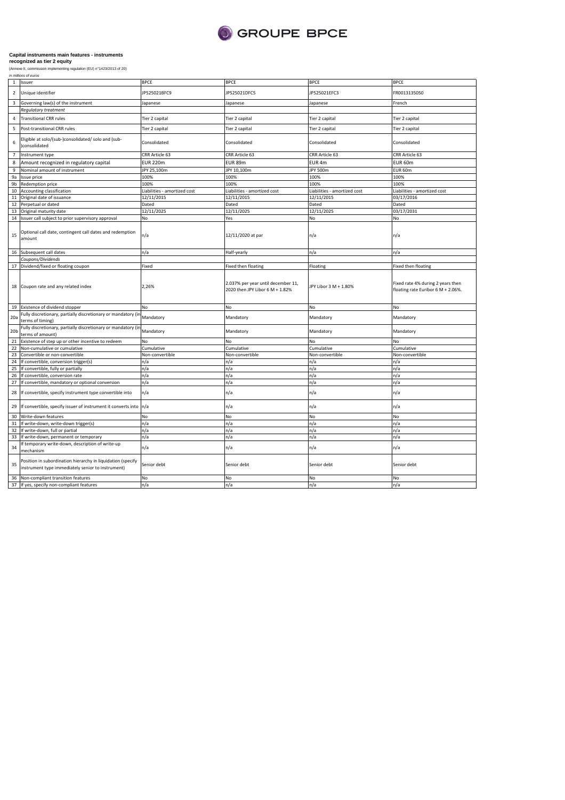

|                 | in millions of euros                                                                                             |                             |                                                                       |                              |                                                                         |  |
|-----------------|------------------------------------------------------------------------------------------------------------------|-----------------------------|-----------------------------------------------------------------------|------------------------------|-------------------------------------------------------------------------|--|
| $\mathbf{1}$    | Issuer                                                                                                           | <b>BPCE</b>                 | <b>BPCE</b>                                                           | <b>BPCE</b>                  | <b>BPCE</b>                                                             |  |
| $\overline{2}$  | Unique identifier                                                                                                | JP525021BFC9                | JP525021DFC5                                                          | JP525021EFC3                 | FR0013135050                                                            |  |
| 3               | Governing law(s) of the instrument                                                                               | lapanese                    | Japanese                                                              | Japanese                     | French                                                                  |  |
|                 | Regulatory treatment                                                                                             |                             |                                                                       |                              |                                                                         |  |
| 4               | <b>Transitional CRR rules</b>                                                                                    | Tier 2 capital              | Tier 2 capital                                                        | Tier 2 capital               | Tier 2 capital                                                          |  |
| 5               | Post-transitional CRR rules                                                                                      | Tier 2 capital              | Tier 2 capital                                                        | Tier 2 capital               | Tier 2 capital                                                          |  |
| 6               | Eligible at solo/(sub-)consolidated/ solo and (sub-<br>)consolidated                                             | Consolidated                | Consolidated                                                          | Consolidated                 | Consolidated                                                            |  |
| $\overline{7}$  | Instrument type                                                                                                  | CRR Article 63              | CRR Article 63                                                        | CRR Article 63               | CRR Article 63                                                          |  |
| 8               | Amount recognized in regulatory capital                                                                          | <b>EUR 220m</b>             | <b>EUR 89m</b>                                                        | EUR <sub>4m</sub>            | EUR 60m                                                                 |  |
| 9               | Nominal amount of instrument                                                                                     | JPY 25,100m                 | JPY 10,100m                                                           | JPY 500m                     | EUR 60m                                                                 |  |
| 9a              | Issue price                                                                                                      | 100%                        | 100%                                                                  | 100%                         | 100%                                                                    |  |
|                 |                                                                                                                  |                             |                                                                       |                              |                                                                         |  |
| 9b              | Redemption price                                                                                                 | 100%                        | 100%                                                                  | 100%                         | 100%                                                                    |  |
|                 | 10 Accounting classification                                                                                     | iabilities - amortized cost | Liabilities - amortized cost                                          | Liabilities - amortized cost | Liabilities - amortized cost                                            |  |
| 11              | Original date of issuance                                                                                        | 12/11/2015                  | 12/11/2015                                                            | 12/11/2015                   | 03/17/2016                                                              |  |
| 12              | Perpetual or dated                                                                                               | Dated                       | Dated                                                                 | Dated                        | Dated                                                                   |  |
| 13              | Original maturity date                                                                                           | 12/11/2025                  | 12/11/2025                                                            | 12/11/2025                   | 03/17/2031                                                              |  |
|                 | 14 Issuer call subject to prior supervisory approval                                                             | No                          | Yes                                                                   | No                           | No                                                                      |  |
| 15              | Optional call date, contingent call dates and redemption<br>amount                                               | n/a                         | 12/11/2020 at par                                                     | n/a                          | n/a                                                                     |  |
|                 | 16 Subsequent call dates                                                                                         | n/a                         | Half-yearly                                                           | n/a                          | n/a                                                                     |  |
|                 | Coupons/Dividends                                                                                                |                             |                                                                       |                              |                                                                         |  |
| 17              | Dividend/fixed or floating coupon                                                                                | Fixed                       | Fixed then floating                                                   | Floating                     | Fixed then floating                                                     |  |
|                 | 18 Coupon rate and any related index                                                                             | 2,26%                       | 2.037% per year until december 11,<br>2020 then JPY Libor 6 M + 1.82% | JPY Libor 3 M + 1.80%        | Fixed rate 4% during 2 years then<br>floating rate Euribor 6 M + 2.06%. |  |
|                 | 19 Existence of dividend stopper                                                                                 | No                          | No                                                                    | No                           | No                                                                      |  |
| 20a             | Fully discretionary, partially discretionary or mandatory (in<br>terms of timing)                                | Mandatory                   | Mandatory                                                             | Mandatory                    | Mandatory                                                               |  |
| 20 <sub>b</sub> | Fully discretionary, partially discretionary or mandatory (in<br>terms of amount)                                | Mandatory                   | Mandatory                                                             | Mandatory                    | Mandatory                                                               |  |
| 21              | Existence of step up or other incentive to redeem                                                                | No                          | No                                                                    | No                           | No                                                                      |  |
| 22              | Non-cumulative or cumulative                                                                                     | Cumulative                  | Cumulative                                                            | Cumulative                   | Cumulative                                                              |  |
| 23              | Convertible or non-convertible                                                                                   | Non-convertible             | Non-convertible                                                       | Non-convertible              | Non-convertible                                                         |  |
|                 | 24 If convertible, conversion trigger(s)                                                                         | n/a                         | n/a                                                                   | n/a                          | n/a                                                                     |  |
| 25              | If convertible, fully or partially                                                                               | n/a                         | n/a                                                                   | n/a                          | n/a                                                                     |  |
| 26              | If convertible, conversion rate                                                                                  | n/a                         | n/a                                                                   | n/a                          | n/a                                                                     |  |
| 27              | If convertible, mandatory or optional conversion                                                                 | n/a                         | n/a                                                                   | n/a                          | n/a                                                                     |  |
| 28              | If convertible, specify instrument type convertible into                                                         | n/a                         | n/a                                                                   | n/a                          | n/a                                                                     |  |
| 29              | If convertible, specify issuer of instrument it converts into n/a                                                |                             | n/a                                                                   | n/a                          | n/a                                                                     |  |
| 30              | Write-down features                                                                                              | No                          | No                                                                    | No                           | No                                                                      |  |
| 31              | If write-down, write-down trigger(s)                                                                             | n/a                         | n/a                                                                   | n/a                          | n/a                                                                     |  |
| 32              | If write-down, full or partial                                                                                   | n/a                         | n/a                                                                   | n/a                          | n/a                                                                     |  |
| 33              | If write-down, permanent or temporary                                                                            | n/a                         | n/a                                                                   | n/a                          | n/a                                                                     |  |
| 34              | If temporary write-down, description of write-up<br>mechanism                                                    | n/a                         | n/a                                                                   | n/a                          | n/a                                                                     |  |
| 35              | Position in subordination hierarchy in liquidation (specify<br>instrument type immediately senior to instrument) | Senior debt                 | Senior debt                                                           | Senior debt                  | Senior debt                                                             |  |
|                 |                                                                                                                  |                             |                                                                       |                              |                                                                         |  |
|                 | 36 Non-compliant transition features                                                                             | No                          | No                                                                    | No                           | No                                                                      |  |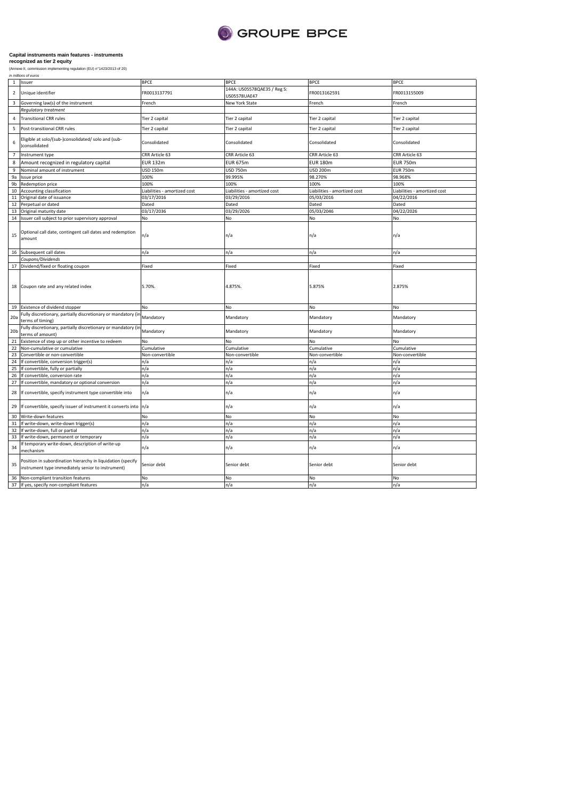

| in millions of euros |
|----------------------|
|----------------------|

|                 | 1 Issuer                                                                                                         | <b>BPCE</b>                  | <b>BPCE</b>                                 | <b>BPCE</b>                  | <b>BPCE</b>                  |
|-----------------|------------------------------------------------------------------------------------------------------------------|------------------------------|---------------------------------------------|------------------------------|------------------------------|
| $\overline{2}$  | Unique identifier                                                                                                | FR0013137791                 | 144A: US05578QAE35 / Reg S:<br>US05578UAE47 | FR0013162591                 | FR0013155009                 |
| 3               | Governing law(s) of the instrument                                                                               | French                       | New York State                              | French                       | French                       |
|                 | <b>Regulatory treatment</b>                                                                                      |                              |                                             |                              |                              |
| $\sqrt{4}$      | <b>Transitional CRR rules</b>                                                                                    | Tier 2 capital               | Tier 2 capital                              | Tier 2 capital               | Tier 2 capital               |
| 5               | Post-transitional CRR rules                                                                                      | Tier 2 capital               | Tier 2 capital                              | Tier 2 capital               | Tier 2 capital               |
| 6               | Eligible at solo/(sub-)consolidated/ solo and (sub-<br>)consolidated                                             | Consolidated                 | Consolidated                                | Consolidated                 | Consolidated                 |
| $\overline{7}$  | Instrument type                                                                                                  | CRR Article 63               | CRR Article 63                              | CRR Article 63               | CRR Article 63               |
| 8               | Amount recognized in regulatory capital                                                                          | <b>EUR 132m</b>              | <b>EUR 675m</b>                             | <b>EUR 180m</b>              | <b>EUR 750m</b>              |
|                 |                                                                                                                  |                              |                                             |                              |                              |
| 9               | Nominal amount of instrument                                                                                     | USD 150m                     | <b>USD 750m</b>                             | USD 200m                     | <b>EUR 750m</b>              |
| 9a              | Issue price                                                                                                      | 100%                         | 99.995%                                     | 98.270%                      | 98.968%                      |
| 9b              | Redemption price                                                                                                 | 100%                         | 100%                                        | 100%                         | 100%                         |
| 10              | Accounting classification                                                                                        | Liabilities - amortized cost | Liabilities - amortized cost                | Liabilities - amortized cost | Liabilities - amortized cost |
| 11              | Original date of issuance                                                                                        | 03/17/2016                   | 03/29/2016                                  | 05/03/2016                   | 04/22/2016                   |
| 12              | Perpetual or dated                                                                                               | Dated                        | Dated                                       | Dated                        | Dated                        |
| 13              | Original maturity date                                                                                           | 03/17/2036                   | 03/29/2026                                  | 05/03/2046                   | 04/22/2026                   |
| 14              | Issuer call subject to prior supervisory approval                                                                | No                           | No                                          | No                           | No                           |
| 15              | Optional call date, contingent call dates and redemption<br>amount                                               | n/a                          | n/a                                         | n/a                          | n/a                          |
|                 | 16 Subsequent call dates                                                                                         | n/a                          | n/a                                         | n/a                          | n/a                          |
|                 | Coupons/Dividends                                                                                                |                              |                                             |                              |                              |
|                 | 17 Dividend/fixed or floating coupon                                                                             | Fixed                        | Fixed                                       | Fixed                        | Fixed                        |
|                 |                                                                                                                  |                              |                                             |                              |                              |
|                 | 18 Coupon rate and any related index                                                                             | 5.70%.                       | 4.875%                                      | 5.875%                       | 2.875%                       |
|                 | 19 Existence of dividend stopper                                                                                 | No                           | No                                          | No                           | No                           |
| 20a             | Fully discretionary, partially discretionary or mandatory (in<br>terms of timing)                                | Mandatory                    | Mandatory                                   | Mandatory                    | Mandatory                    |
| 20 <sub>b</sub> | Fully discretionary, partially discretionary or mandatory (in<br>terms of amount)                                | Mandatory                    | Mandatory                                   | Mandatory                    | Mandatory                    |
| 21              | Existence of step up or other incentive to redeem                                                                | No                           | No                                          | No                           | No                           |
| 22              | Non-cumulative or cumulative                                                                                     | Cumulative                   | Cumulative                                  | Cumulative                   | Cumulative                   |
| 23              | Convertible or non-convertible                                                                                   | Non-convertible              | Non-convertible                             | Non-convertible              | Non-convertible              |
| 24              | If convertible, conversion trigger(s)                                                                            | n/a                          | n/a                                         | n/a                          | n/a                          |
|                 |                                                                                                                  |                              |                                             |                              |                              |
| 25              | If convertible, fully or partially                                                                               | n/a                          | n/a                                         | n/a                          | n/a                          |
| 26              | If convertible, conversion rate                                                                                  | n/a                          | n/a                                         | n/a                          | n/a                          |
| 27              | If convertible, mandatory or optional conversion                                                                 | n/a                          | n/a                                         | n/a                          | n/a                          |
| 28              | If convertible, specify instrument type convertible into                                                         | n/a                          | n/a                                         | n/a                          | n/a                          |
| 29              | If convertible, specify issuer of instrument it converts into                                                    | n/a                          | n/a                                         | n/a                          | n/a                          |
| 30              | Write-down features                                                                                              | No                           | No                                          | No                           | No                           |
| 31              | If write-down, write-down trigger(s)                                                                             | n/a                          | n/a                                         | n/a                          | n/a                          |
| 32              | If write-down, full or partial                                                                                   | n/a                          | n/a                                         | n/a                          | n/a                          |
| 33              | If write-down, permanent or temporary                                                                            | n/a                          | n/a                                         | n/a                          | n/a                          |
| 34              | If temporary write-down, description of write-up                                                                 | n/a                          | n/a                                         | n/a                          | n/a                          |
|                 | mechanism                                                                                                        |                              |                                             |                              |                              |
| 35              | Position in subordination hierarchy in liquidation (specify<br>instrument type immediately senior to instrument) | Senior debt                  | Senior debt                                 | Senior debt                  | Senior debt                  |
|                 | 36 Non-compliant transition features                                                                             | No                           | No                                          | <b>No</b>                    | No                           |
|                 | 37 If yes, specify non-compliant features                                                                        | n/a                          | n/a                                         | n/a                          | n/a                          |